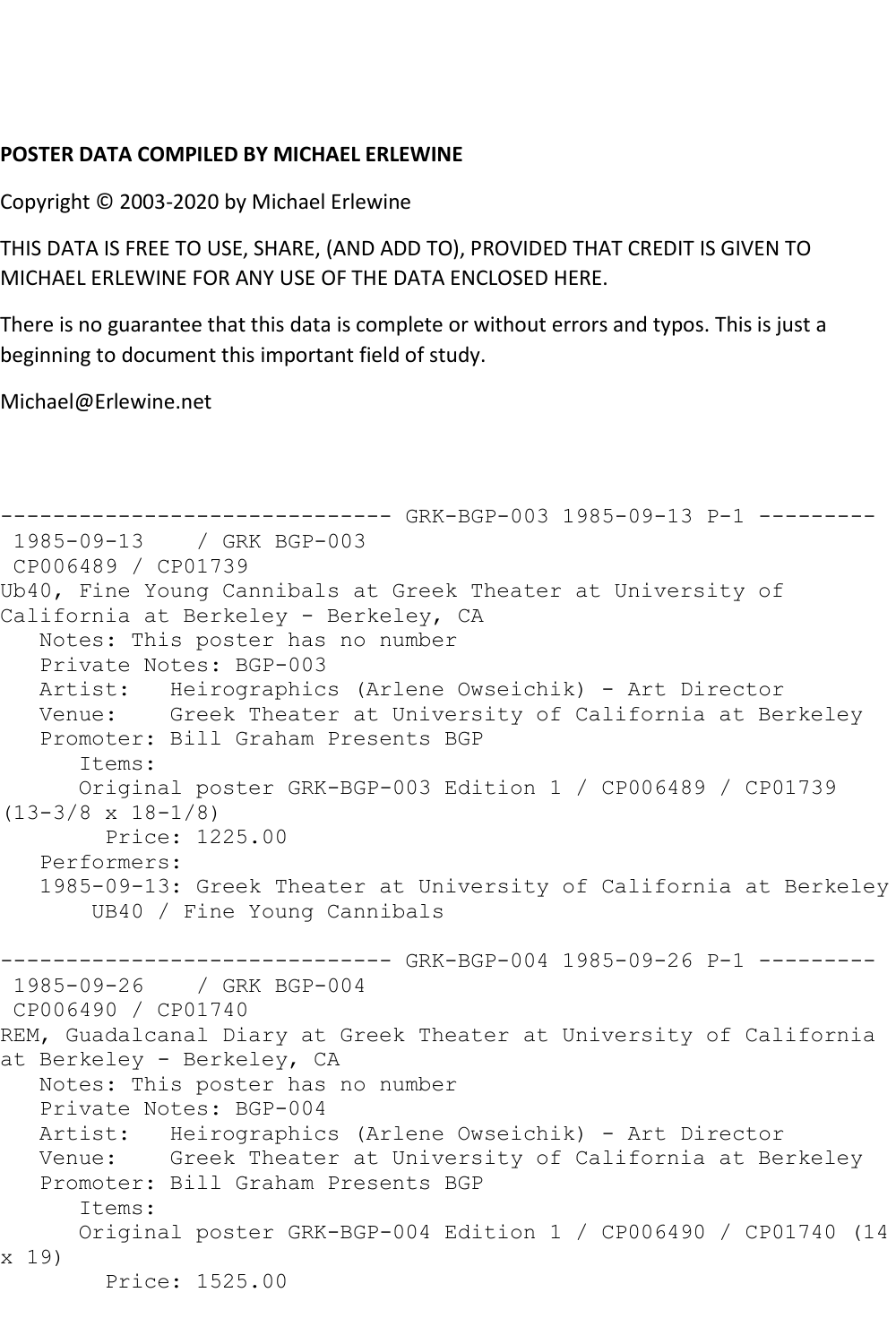## **POSTER DATA COMPILED BY MICHAEL ERLEWINE**

Copyright © 2003-2020 by Michael Erlewine

THIS DATA IS FREE TO USE, SHARE, (AND ADD TO), PROVIDED THAT CREDIT IS GIVEN TO MICHAEL ERLEWINE FOR ANY USE OF THE DATA ENCLOSED HERE.

There is no guarantee that this data is complete or without errors and typos. This is just a beginning to document this important field of study.

Michael@Erlewine.net

```
------------------------------ GRK-BGP-003 1985-09-13 P-1 ---------
1985-09-13 / GRK BGP-003
CP006489 / CP01739
Ub40, Fine Young Cannibals at Greek Theater at University of 
California at Berkeley - Berkeley, CA
   Notes: This poster has no number
   Private Notes: BGP-003
   Artist: Heirographics (Arlene Owseichik) - Art Director
   Venue: Greek Theater at University of California at Berkeley
   Promoter: Bill Graham Presents BGP
      Items:
      Original poster GRK-BGP-003 Edition 1 / CP006489 / CP01739 
(13-3/8 \times 18-1/8) Price: 1225.00
   Performers:
   1985-09-13: Greek Theater at University of California at Berkeley
       UB40 / Fine Young Cannibals
------------------------------ GRK-BGP-004 1985-09-26 P-1 ---------
1985-09-26 / GRK BGP-004
CP006490 / CP01740
REM, Guadalcanal Diary at Greek Theater at University of California 
at Berkeley - Berkeley, CA
   Notes: This poster has no number
   Private Notes: BGP-004
   Artist: Heirographics (Arlene Owseichik) - Art Director
   Venue: Greek Theater at University of California at Berkeley
   Promoter: Bill Graham Presents BGP
       Items:
      Original poster GRK-BGP-004 Edition 1 / CP006490 / CP01740 (14 
x 19)
        Price: 1525.00
```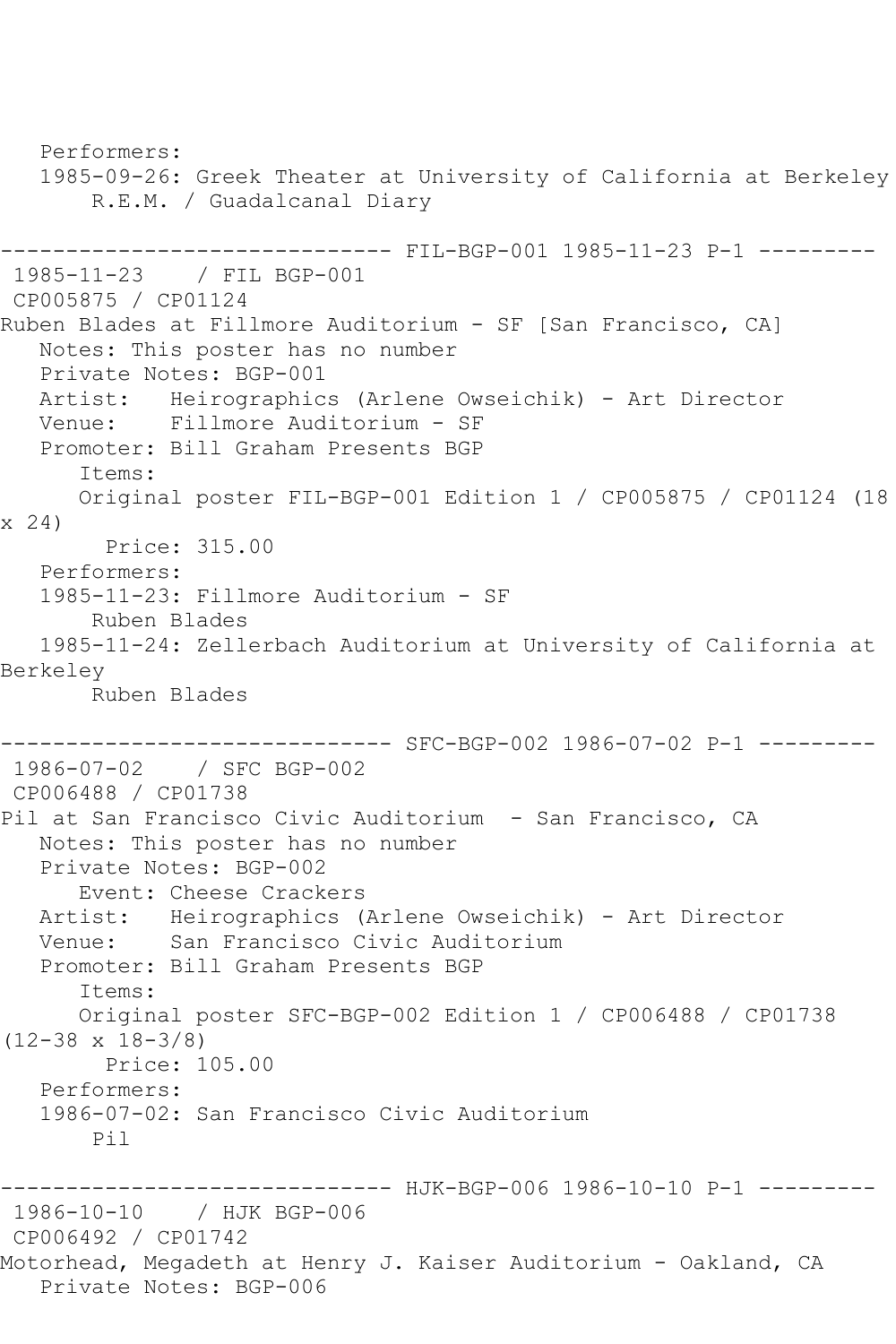Performers: 1985-09-26: Greek Theater at University of California at Berkeley R.E.M. / Guadalcanal Diary ------------------------------ FIL-BGP-001 1985-11-23 P-1 --------- 1985-11-23 / FIL BGP-001 CP005875 / CP01124 Ruben Blades at Fillmore Auditorium - SF [San Francisco, CA] Notes: This poster has no number Private Notes: BGP-001 Artist: Heirographics (Arlene Owseichik) - Art Director Venue: Fillmore Auditorium - SF Promoter: Bill Graham Presents BGP Items: Original poster FIL-BGP-001 Edition 1 / CP005875 / CP01124 (18 x 24) Price: 315.00 Performers: 1985-11-23: Fillmore Auditorium - SF Ruben Blades 1985-11-24: Zellerbach Auditorium at University of California at Berkeley Ruben Blades ------------------------------ SFC-BGP-002 1986-07-02 P-1 --------- 1986-07-02 / SFC BGP-002 CP006488 / CP01738 Pil at San Francisco Civic Auditorium - San Francisco, CA Notes: This poster has no number Private Notes: BGP-002 Event: Cheese Crackers Artist: Heirographics (Arlene Owseichik) - Art Director Venue: San Francisco Civic Auditorium Promoter: Bill Graham Presents BGP Items: Original poster SFC-BGP-002 Edition 1 / CP006488 / CP01738 (12-38 x 18-3/8) Price: 105.00 Performers: 1986-07-02: San Francisco Civic Auditorium Pil ------------------------------ HJK-BGP-006 1986-10-10 P-1 --------- 1986-10-10 / HJK BGP-006 CP006492 / CP01742 Motorhead, Megadeth at Henry J. Kaiser Auditorium - Oakland, CA Private Notes: BGP-006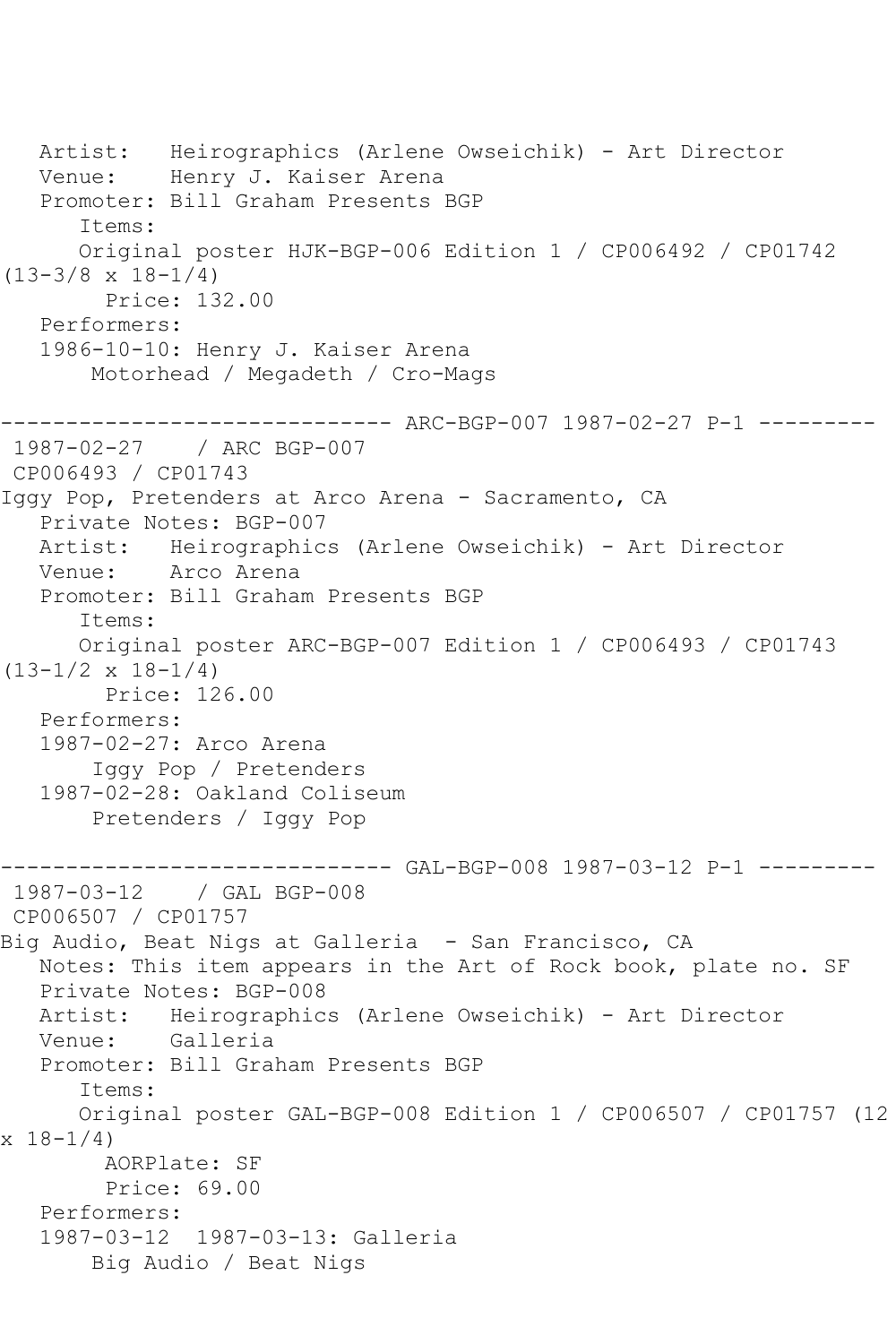```
 Artist: Heirographics (Arlene Owseichik) - Art Director
   Venue: Henry J. Kaiser Arena
   Promoter: Bill Graham Presents BGP
       Items:
      Original poster HJK-BGP-006 Edition 1 / CP006492 / CP01742 
(13-3/8 x 18-1/4)
         Price: 132.00
   Performers:
   1986-10-10: Henry J. Kaiser Arena
        Motorhead / Megadeth / Cro-Mags
              ------------------------------ ARC-BGP-007 1987-02-27 P-1 ---------
1987-02-27 / ARC BGP-007
CP006493 / CP01743
Iggy Pop, Pretenders at Arco Arena - Sacramento, CA
   Private Notes: BGP-007
   Artist: Heirographics (Arlene Owseichik) - Art Director
   Venue: Arco Arena
   Promoter: Bill Graham Presents BGP
       Items:
      Original poster ARC-BGP-007 Edition 1 / CP006493 / CP01743 
(13-1/2 \times 18-1/4) Price: 126.00
   Performers:
   1987-02-27: Arco Arena
        Iggy Pop / Pretenders
   1987-02-28: Oakland Coliseum
        Pretenders / Iggy Pop
------------------------------ GAL-BGP-008 1987-03-12 P-1 ---------
1987-03-12 / GAL BGP-008
CP006507 / CP01757
Big Audio, Beat Nigs at Galleria - San Francisco, CA
   Notes: This item appears in the Art of Rock book, plate no. SF
   Private Notes: BGP-008
   Artist: Heirographics (Arlene Owseichik) - Art Director
   Venue: Galleria
   Promoter: Bill Graham Presents BGP
       Items:
       Original poster GAL-BGP-008 Edition 1 / CP006507 / CP01757 (12 
x 18 - 1/4 AORPlate: SF 
         Price: 69.00
   Performers:
   1987-03-12 1987-03-13: Galleria
        Big Audio / Beat Nigs
```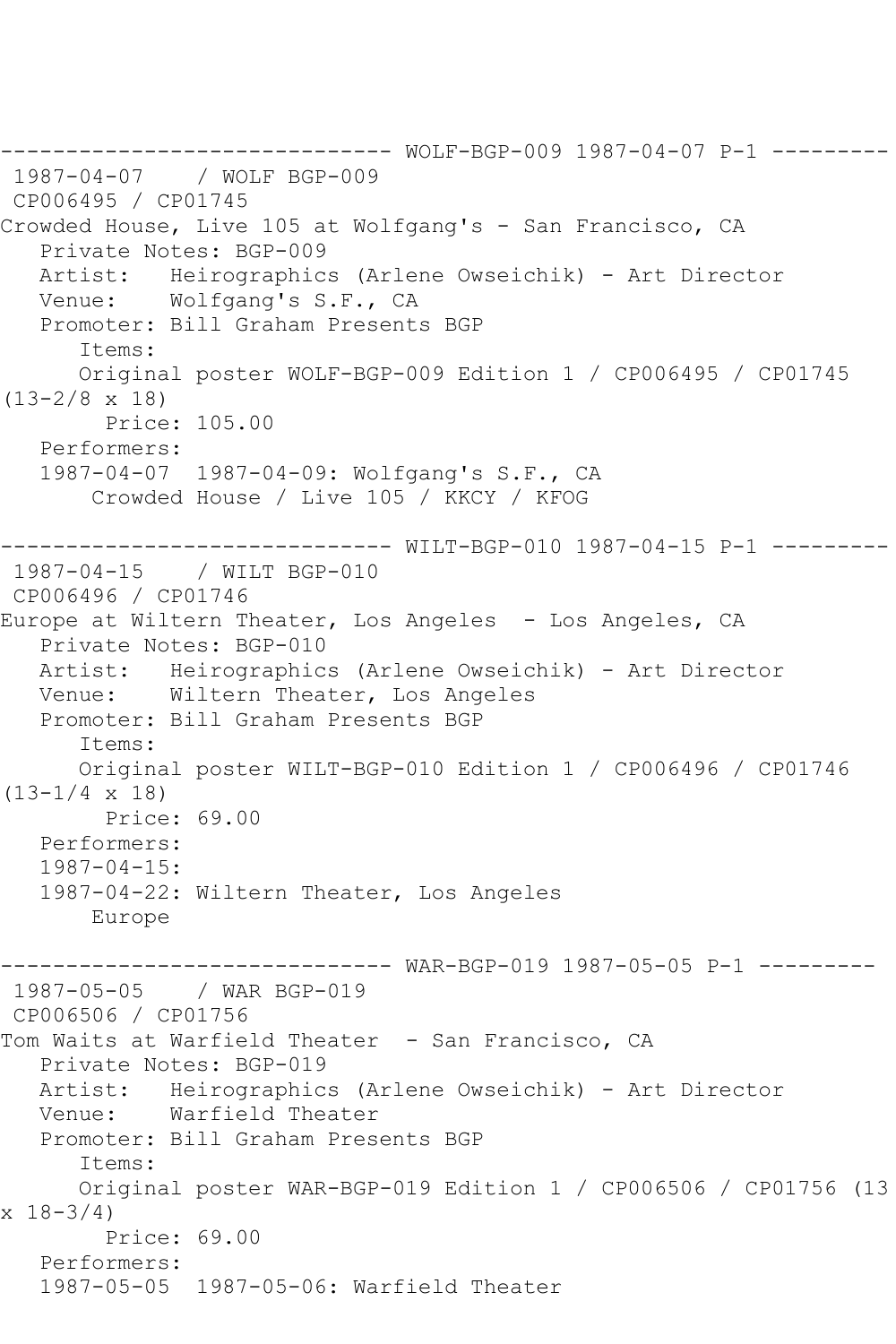------------------------------ WOLF-BGP-009 1987-04-07 P-1 --------- 1987-04-07 / WOLF BGP-009 CP006495 / CP01745 Crowded House, Live 105 at Wolfgang's - San Francisco, CA Private Notes: BGP-009 Artist: Heirographics (Arlene Owseichik) - Art Director Venue: Wolfgang's S.F., CA Promoter: Bill Graham Presents BGP Items: Original poster WOLF-BGP-009 Edition 1 / CP006495 / CP01745 (13-2/8 x 18) Price: 105.00 Performers: 1987-04-07 1987-04-09: Wolfgang's S.F., CA Crowded House / Live 105 / KKCY / KFOG ------------------------------ WILT-BGP-010 1987-04-15 P-1 --------- 1987-04-15 / WILT BGP-010 CP006496 / CP01746 Europe at Wiltern Theater, Los Angeles - Los Angeles, CA Private Notes: BGP-010 Artist: Heirographics (Arlene Owseichik) - Art Director Venue: Wiltern Theater, Los Angeles Promoter: Bill Graham Presents BGP Items: Original poster WILT-BGP-010 Edition 1 / CP006496 / CP01746  $(13-1/4 \times 18)$  Price: 69.00 Performers: 1987-04-15: 1987-04-22: Wiltern Theater, Los Angeles Europe ------------------------------ WAR-BGP-019 1987-05-05 P-1 --------- 1987-05-05 / WAR BGP-019 CP006506 / CP01756 Tom Waits at Warfield Theater - San Francisco, CA Private Notes: BGP-019 Artist: Heirographics (Arlene Owseichik) - Art Director<br>Venue: Warfield Theater Warfield Theater Promoter: Bill Graham Presents BGP Items: Original poster WAR-BGP-019 Edition 1 / CP006506 / CP01756 (13  $x \ 18 - 3/4$  Price: 69.00 Performers: 1987-05-05 1987-05-06: Warfield Theater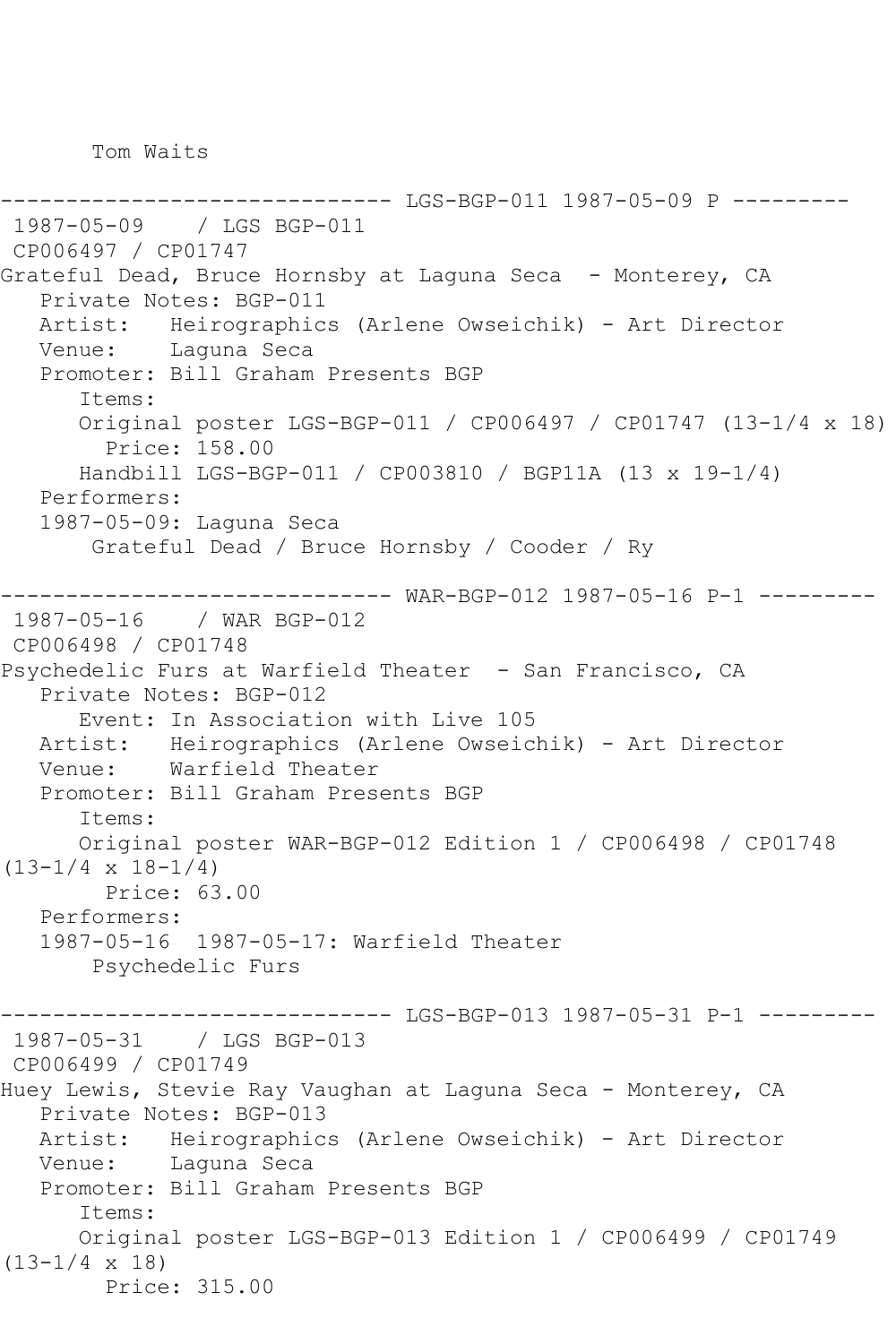Tom Waits

------------------------------ LGS-BGP-011 1987-05-09 P --------- 1987-05-09 / LGS BGP-011 CP006497 / CP01747 Grateful Dead, Bruce Hornsby at Laguna Seca - Monterey, CA Private Notes: BGP-011 Artist: Heirographics (Arlene Owseichik) - Art Director Venue: Laguna Seca Promoter: Bill Graham Presents BGP Items: Original poster LGS-BGP-011 / CP006497 / CP01747 (13-1/4 x 18) Price: 158.00 Handbill LGS-BGP-011 / CP003810 / BGP11A (13 x 19-1/4) Performers: 1987-05-09: Laguna Seca Grateful Dead / Bruce Hornsby / Cooder / Ry ------------------------------ WAR-BGP-012 1987-05-16 P-1 --------- 1987-05-16 / WAR BGP-012 CP006498 / CP01748 Psychedelic Furs at Warfield Theater - San Francisco, CA Private Notes: BGP-012 Event: In Association with Live 105 Artist: Heirographics (Arlene Owseichik) - Art Director<br>Venue: Warfield Theater Warfield Theater Promoter: Bill Graham Presents BGP Items: Original poster WAR-BGP-012 Edition 1 / CP006498 / CP01748  $(13-1/4 \times 18-1/4)$  Price: 63.00 Performers: 1987-05-16 1987-05-17: Warfield Theater Psychedelic Furs ------------------------------ LGS-BGP-013 1987-05-31 P-1 --------- 1987-05-31 / LGS BGP-013 CP006499 / CP01749 Huey Lewis, Stevie Ray Vaughan at Laguna Seca - Monterey, CA Private Notes: BGP-013 Artist: Heirographics (Arlene Owseichik) - Art Director Venue: Laguna Seca Promoter: Bill Graham Presents BGP Items: Original poster LGS-BGP-013 Edition 1 / CP006499 / CP01749  $(13-1/4 \times 18)$ Price: 315.00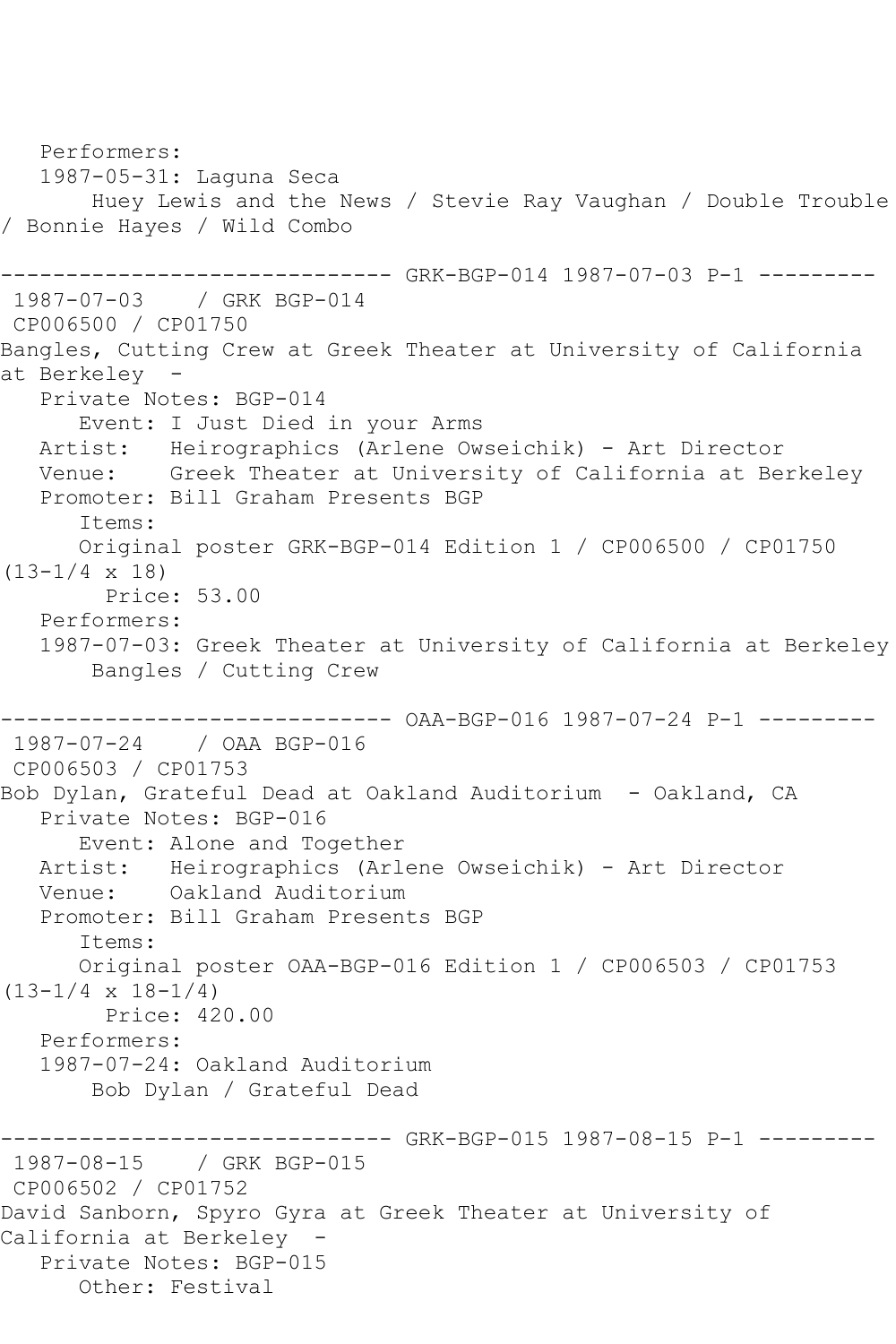Performers: 1987-05-31: Laguna Seca Huey Lewis and the News / Stevie Ray Vaughan / Double Trouble / Bonnie Hayes / Wild Combo ------------- GRK-BGP-014 1987-07-03 P-1 ---------1987-07-03 / GRK BGP-014 CP006500 / CP01750 Bangles, Cutting Crew at Greek Theater at University of California at Berkeley - Private Notes: BGP-014 Event: I Just Died in your Arms Artist: Heirographics (Arlene Owseichik) - Art Director Venue: Greek Theater at University of California at Berkeley Promoter: Bill Graham Presents BGP Items: Original poster GRK-BGP-014 Edition 1 / CP006500 / CP01750 (13-1/4 x 18) Price: 53.00 Performers: 1987-07-03: Greek Theater at University of California at Berkeley Bangles / Cutting Crew ------------------------------ OAA-BGP-016 1987-07-24 P-1 --------- 1987-07-24 / OAA BGP-016 CP006503 / CP01753 Bob Dylan, Grateful Dead at Oakland Auditorium - Oakland, CA Private Notes: BGP-016 Event: Alone and Together Artist: Heirographics (Arlene Owseichik) - Art Director Venue: Oakland Auditorium Promoter: Bill Graham Presents BGP Items: Original poster OAA-BGP-016 Edition 1 / CP006503 / CP01753  $(13-1/4 \times 18-1/4)$  Price: 420.00 Performers: 1987-07-24: Oakland Auditorium Bob Dylan / Grateful Dead ---------- GRK-BGP-015 1987-08-15 P-1 ---------1987-08-15 / GRK BGP-015 CP006502 / CP01752 David Sanborn, Spyro Gyra at Greek Theater at University of California at Berkeley - Private Notes: BGP-015 Other: Festival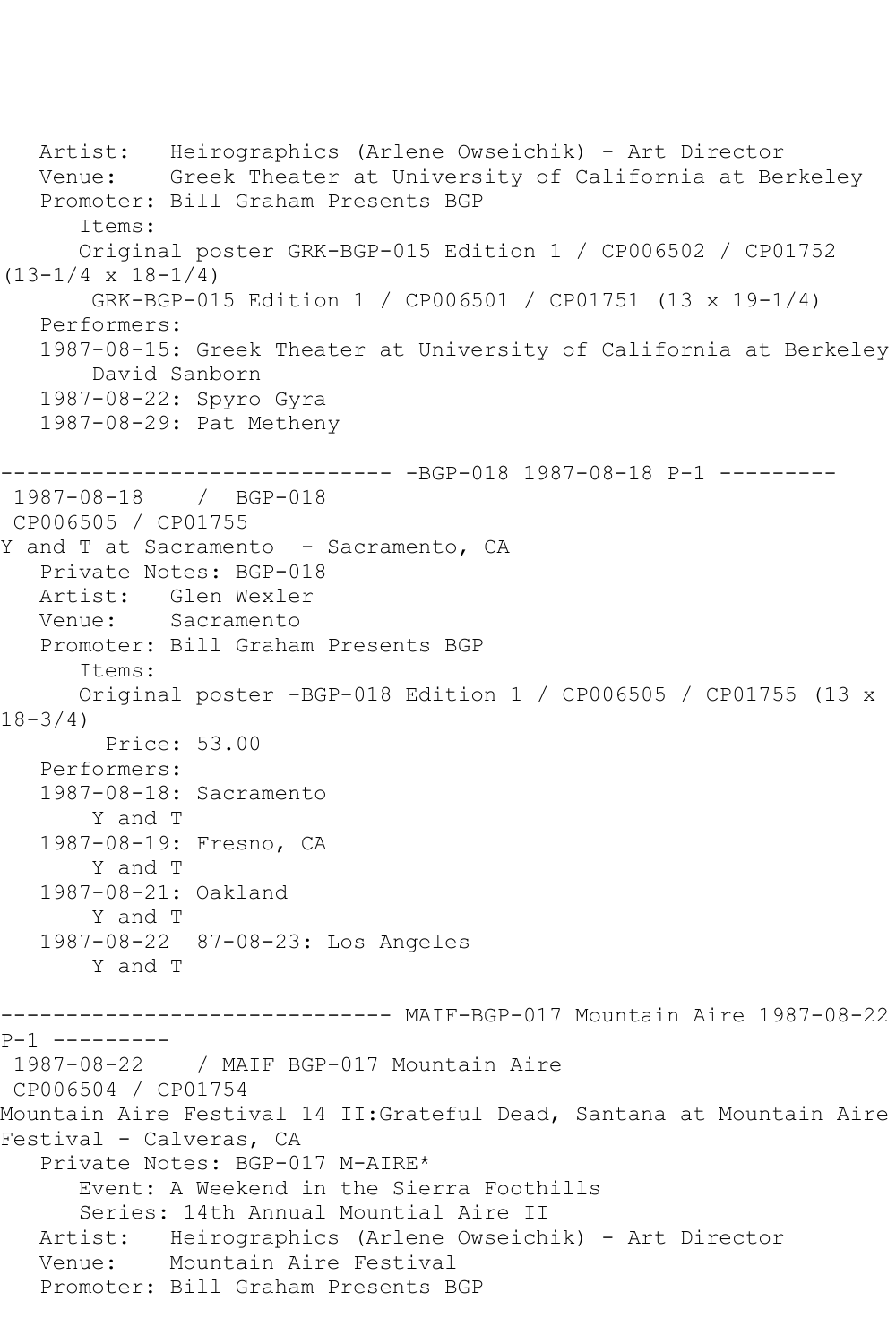Artist: Heirographics (Arlene Owseichik) - Art Director Venue: Greek Theater at University of California at Berkeley Promoter: Bill Graham Presents BGP Items: Original poster GRK-BGP-015 Edition 1 / CP006502 / CP01752  $(13-1/4 \times 18-1/4)$  GRK-BGP-015 Edition 1 / CP006501 / CP01751 (13 x 19-1/4) Performers: 1987-08-15: Greek Theater at University of California at Berkeley David Sanborn 1987-08-22: Spyro Gyra 1987-08-29: Pat Metheny ------------------------------ -BGP-018 1987-08-18 P-1 --------- 1987-08-18 / BGP-018 CP006505 / CP01755 Y and T at Sacramento - Sacramento, CA Private Notes: BGP-018 Artist: Glen Wexler Venue: Sacramento Promoter: Bill Graham Presents BGP Items: Original poster -BGP-018 Edition 1 / CP006505 / CP01755 (13 x 18-3/4) Price: 53.00 Performers: 1987-08-18: Sacramento Y and T 1987-08-19: Fresno, CA Y and T 1987-08-21: Oakland Y and T 1987-08-22 87-08-23: Los Angeles Y and T ------------------------------ MAIF-BGP-017 Mountain Aire 1987-08-22 P-1 ---------<br>1987-08-22 1987-08-22 / MAIF BGP-017 Mountain Aire CP006504 / CP01754 Mountain Aire Festival 14 II:Grateful Dead, Santana at Mountain Aire Festival - Calveras, CA Private Notes: BGP-017 M-AIRE\* Event: A Weekend in the Sierra Foothills Series: 14th Annual Mountial Aire II Artist: Heirographics (Arlene Owseichik) - Art Director Venue: Mountain Aire Festival Promoter: Bill Graham Presents BGP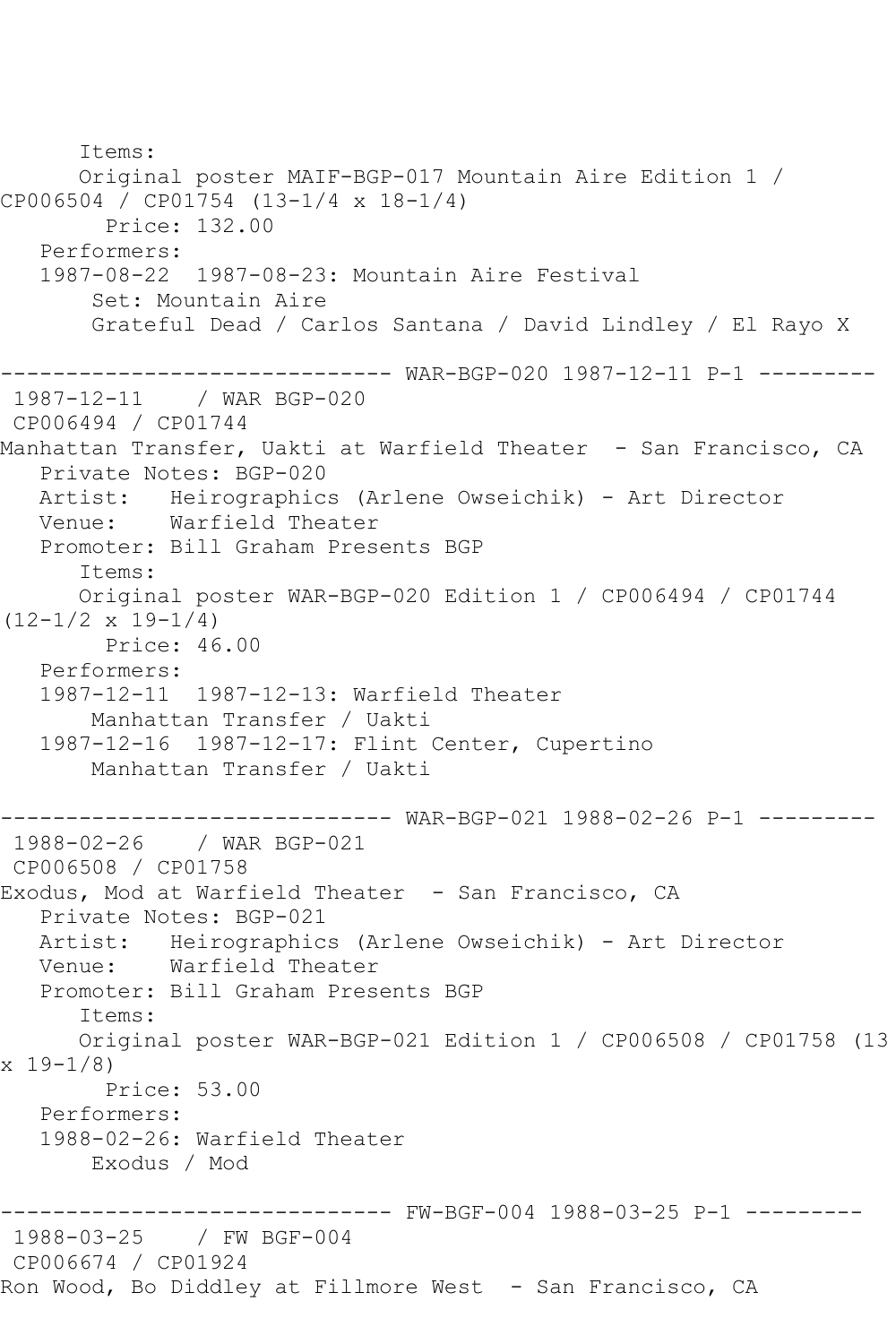Items: Original poster MAIF-BGP-017 Mountain Aire Edition 1 / CP006504 / CP01754 (13-1/4 x 18-1/4) Price: 132.00 Performers: 1987-08-22 1987-08-23: Mountain Aire Festival Set: Mountain Aire Grateful Dead / Carlos Santana / David Lindley / El Rayo X ------------------------------ WAR-BGP-020 1987-12-11 P-1 --------- 1987-12-11 / WAR BGP-020 CP006494 / CP01744 Manhattan Transfer, Uakti at Warfield Theater - San Francisco, CA Private Notes: BGP-020 Artist: Heirographics (Arlene Owseichik) - Art Director Venue: Warfield Theater Promoter: Bill Graham Presents BGP Items: Original poster WAR-BGP-020 Edition 1 / CP006494 / CP01744  $(12-1/2 \times 19-1/4)$  Price: 46.00 Performers: 1987-12-11 1987-12-13: Warfield Theater Manhattan Transfer / Uakti 1987-12-16 1987-12-17: Flint Center, Cupertino Manhattan Transfer / Uakti ------------------------------ WAR-BGP-021 1988-02-26 P-1 --------- 1988-02-26 / WAR BGP-021 CP006508 / CP01758 Exodus, Mod at Warfield Theater - San Francisco, CA Private Notes: BGP-021 Artist: Heirographics (Arlene Owseichik) - Art Director Warfield Theater Promoter: Bill Graham Presents BGP Items: Original poster WAR-BGP-021 Edition 1 / CP006508 / CP01758 (13  $x 19 - 1/8$  Price: 53.00 Performers: 1988-02-26: Warfield Theater Exodus / Mod ------------------------------ FW-BGF-004 1988-03-25 P-1 --------- 1988-03-25 / FW BGF-004 CP006674 / CP01924 Ron Wood, Bo Diddley at Fillmore West - San Francisco, CA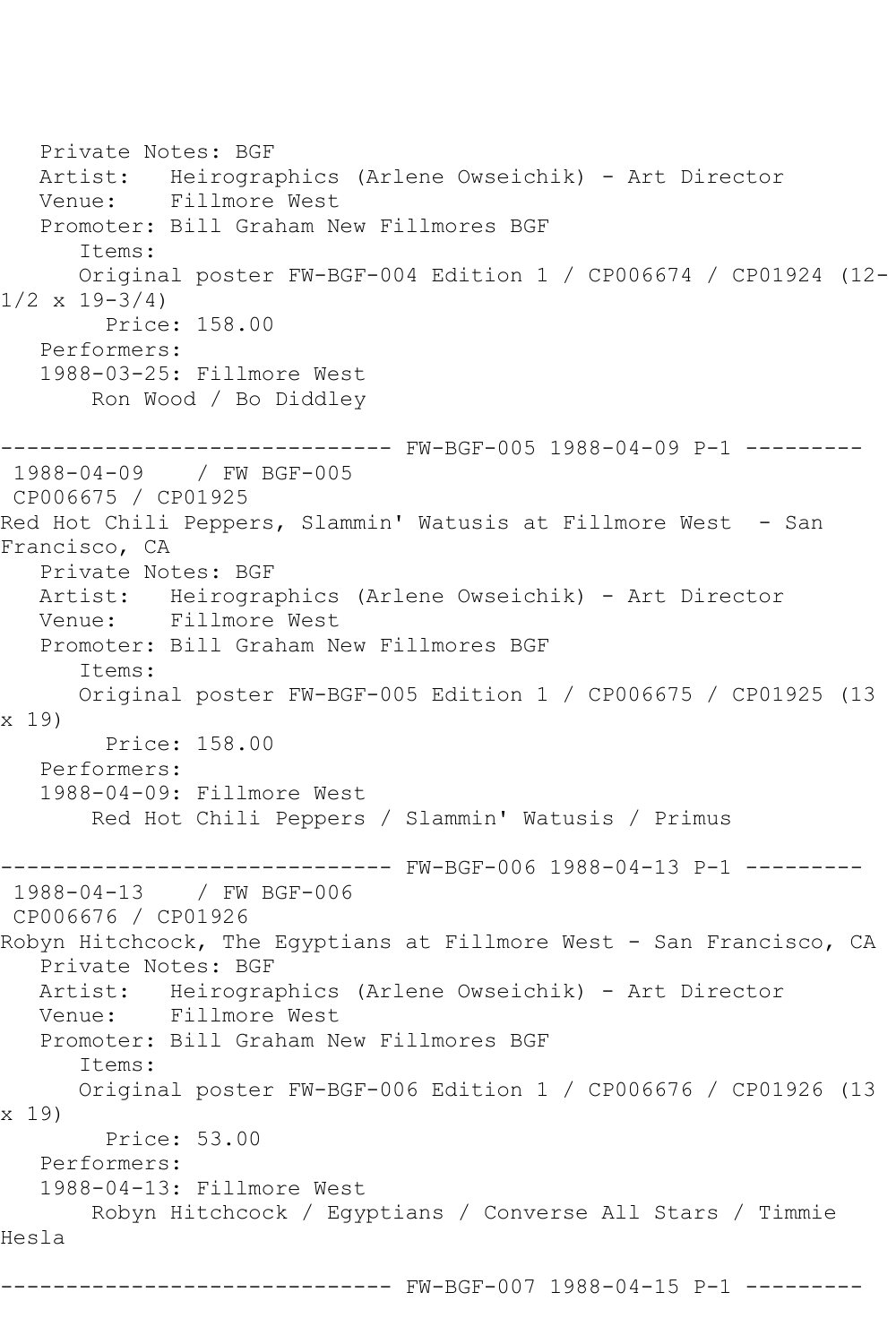Private Notes: BGF Artist: Heirographics (Arlene Owseichik) - Art Director Venue: Fillmore West Promoter: Bill Graham New Fillmores BGF Items: Original poster FW-BGF-004 Edition 1 / CP006674 / CP01924 (12-  $1/2 \times 19 - 3/4$  Price: 158.00 Performers: 1988-03-25: Fillmore West Ron Wood / Bo Diddley ------------------------------ FW-BGF-005 1988-04-09 P-1 --------- 1988-04-09 / FW BGF-005 CP006675 / CP01925 Red Hot Chili Peppers, Slammin' Watusis at Fillmore West - San Francisco, CA Private Notes: BGF Artist: Heirographics (Arlene Owseichik) - Art Director Venue: Fillmore West Promoter: Bill Graham New Fillmores BGF Items: Original poster FW-BGF-005 Edition 1 / CP006675 / CP01925 (13 x 19) Price: 158.00 Performers: 1988-04-09: Fillmore West Red Hot Chili Peppers / Slammin' Watusis / Primus ------------------------------ FW-BGF-006 1988-04-13 P-1 --------- 1988-04-13 / FW BGF-006 CP006676 / CP01926 Robyn Hitchcock, The Egyptians at Fillmore West - San Francisco, CA Private Notes: BGF Artist: Heirographics (Arlene Owseichik) - Art Director Venue: Fillmore West Promoter: Bill Graham New Fillmores BGF Items: Original poster FW-BGF-006 Edition 1 / CP006676 / CP01926 (13 x 19) Price: 53.00 Performers: 1988-04-13: Fillmore West Robyn Hitchcock / Egyptians / Converse All Stars / Timmie Hesla ------------------------------ FW-BGF-007 1988-04-15 P-1 ---------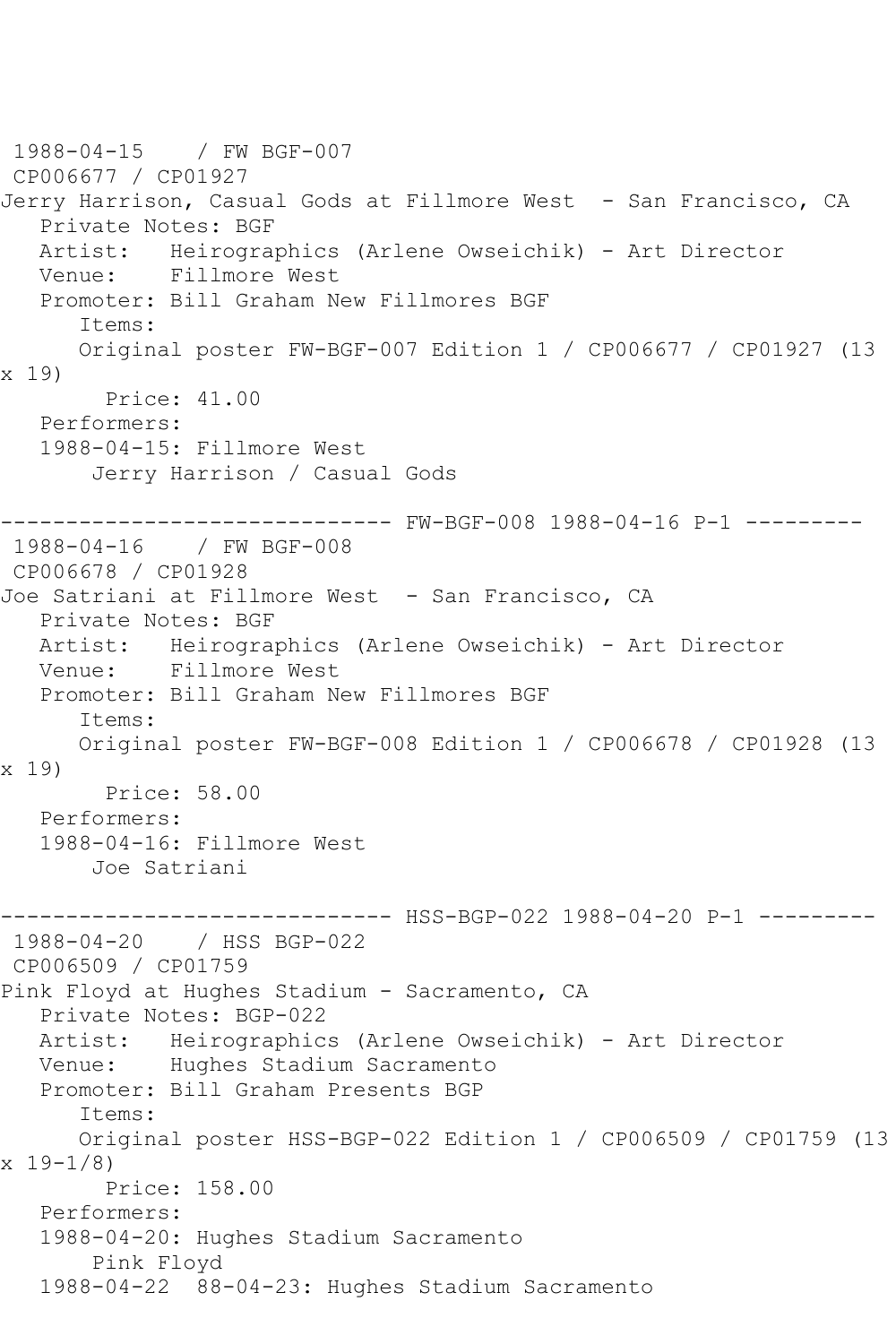1988-04-15 / FW BGF-007 CP006677 / CP01927 Jerry Harrison, Casual Gods at Fillmore West - San Francisco, CA Private Notes: BGF Artist: Heirographics (Arlene Owseichik) - Art Director Venue: Fillmore West Promoter: Bill Graham New Fillmores BGF Items: Original poster FW-BGF-007 Edition 1 / CP006677 / CP01927 (13 x 19) Price: 41.00 Performers: 1988-04-15: Fillmore West Jerry Harrison / Casual Gods ------------------------------ FW-BGF-008 1988-04-16 P-1 --------- 1988-04-16 / FW BGF-008 CP006678 / CP01928 Joe Satriani at Fillmore West - San Francisco, CA Private Notes: BGF Artist: Heirographics (Arlene Owseichik) - Art Director Venue: Fillmore West Promoter: Bill Graham New Fillmores BGF Items: Original poster FW-BGF-008 Edition 1 / CP006678 / CP01928 (13 x 19) Price: 58.00 Performers: 1988-04-16: Fillmore West Joe Satriani ------------------------------ HSS-BGP-022 1988-04-20 P-1 --------- 1988-04-20 / HSS BGP-022 CP006509 / CP01759 Pink Floyd at Hughes Stadium - Sacramento, CA Private Notes: BGP-022 Artist: Heirographics (Arlene Owseichik) - Art Director Venue: Hughes Stadium Sacramento Promoter: Bill Graham Presents BGP Items: Original poster HSS-BGP-022 Edition 1 / CP006509 / CP01759 (13 x 19-1/8) Price: 158.00 Performers: 1988-04-20: Hughes Stadium Sacramento Pink Floyd 1988-04-22 88-04-23: Hughes Stadium Sacramento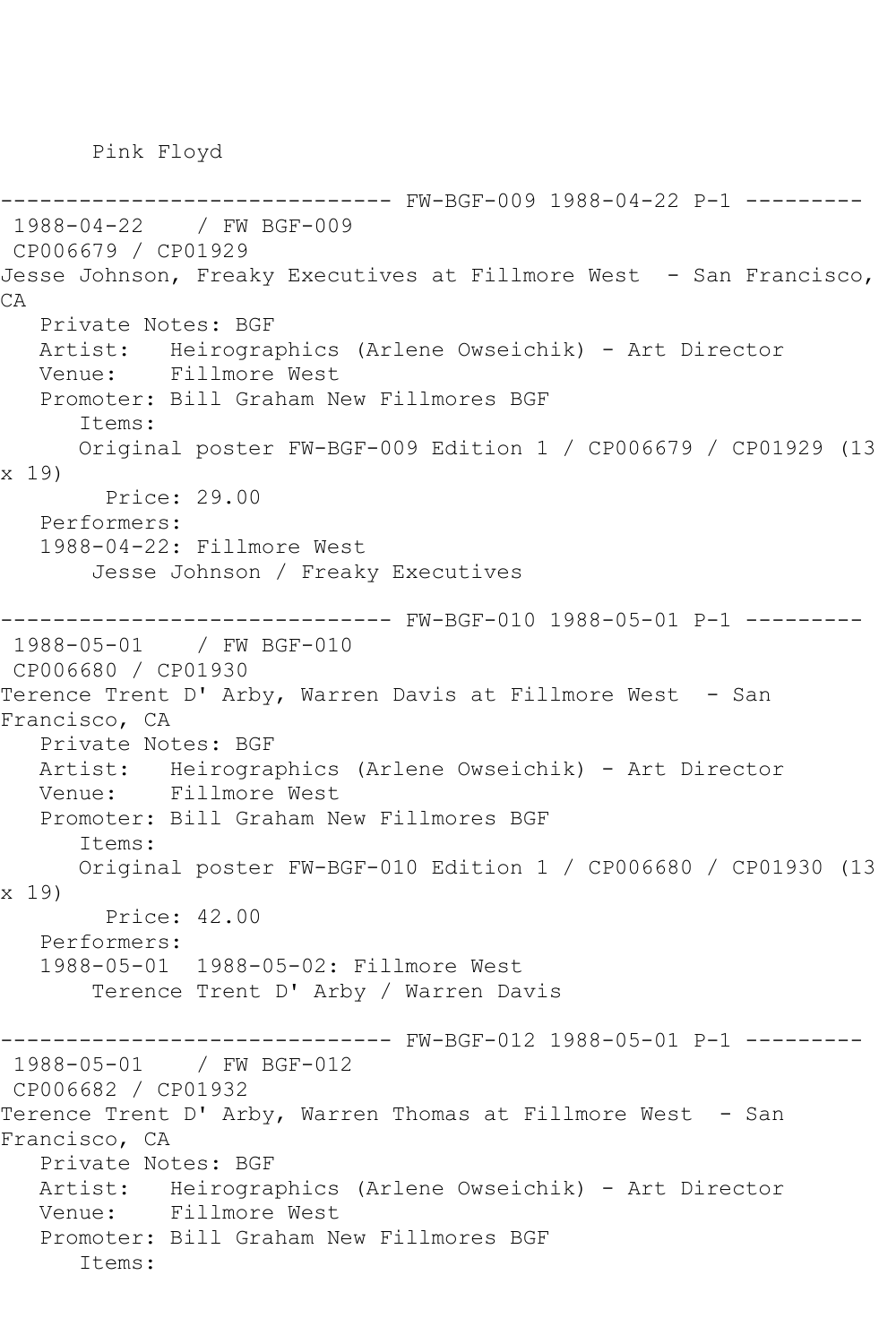Pink Floyd

------------------------------ FW-BGF-009 1988-04-22 P-1 --------- 1988-04-22 / FW BGF-009 CP006679 / CP01929 Jesse Johnson, Freaky Executives at Fillmore West - San Francisco, CA Private Notes: BGF Artist: Heirographics (Arlene Owseichik) - Art Director Venue: Fillmore West Promoter: Bill Graham New Fillmores BGF Items: Original poster FW-BGF-009 Edition 1 / CP006679 / CP01929 (13 x 19) Price: 29.00 Performers: 1988-04-22: Fillmore West Jesse Johnson / Freaky Executives ------------------------------ FW-BGF-010 1988-05-01 P-1 --------- 1988-05-01 / FW BGF-010 CP006680 / CP01930 Terence Trent D' Arby, Warren Davis at Fillmore West - San Francisco, CA Private Notes: BGF Artist: Heirographics (Arlene Owseichik) - Art Director Venue: Fillmore West Promoter: Bill Graham New Fillmores BGF Items: Original poster FW-BGF-010 Edition 1 / CP006680 / CP01930 (13 x 19) Price: 42.00 Performers: 1988-05-01 1988-05-02: Fillmore West Terence Trent D' Arby / Warren Davis ------------------------------ FW-BGF-012 1988-05-01 P-1 --------- 1988-05-01 / FW BGF-012 CP006682 / CP01932 Terence Trent D' Arby, Warren Thomas at Fillmore West - San Francisco, CA Private Notes: BGF Artist: Heirographics (Arlene Owseichik) - Art Director Venue: Fillmore West Promoter: Bill Graham New Fillmores BGF Items: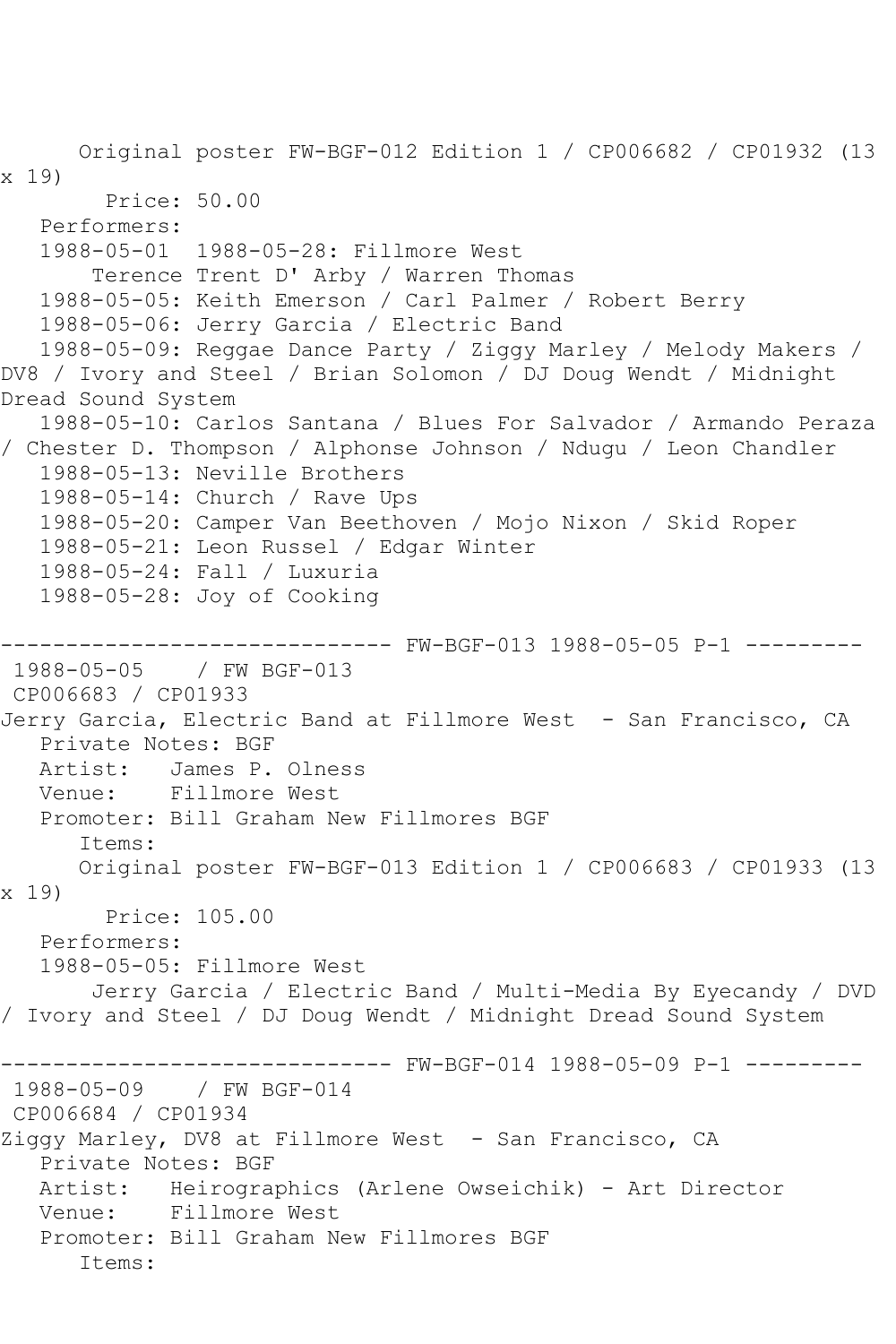Original poster FW-BGF-012 Edition 1 / CP006682 / CP01932 (13 x 19) Price: 50.00 Performers: 1988-05-01 1988-05-28: Fillmore West Terence Trent D' Arby / Warren Thomas 1988-05-05: Keith Emerson / Carl Palmer / Robert Berry 1988-05-06: Jerry Garcia / Electric Band 1988-05-09: Reggae Dance Party / Ziggy Marley / Melody Makers / DV8 / Ivory and Steel / Brian Solomon / DJ Doug Wendt / Midnight Dread Sound System 1988-05-10: Carlos Santana / Blues For Salvador / Armando Peraza / Chester D. Thompson / Alphonse Johnson / Ndugu / Leon Chandler 1988-05-13: Neville Brothers 1988-05-14: Church / Rave Ups 1988-05-20: Camper Van Beethoven / Mojo Nixon / Skid Roper 1988-05-21: Leon Russel / Edgar Winter 1988-05-24: Fall / Luxuria 1988-05-28: Joy of Cooking ------------------------------ FW-BGF-013 1988-05-05 P-1 --------- 1988-05-05 / FW BGF-013 CP006683 / CP01933 Jerry Garcia, Electric Band at Fillmore West - San Francisco, CA Private Notes: BGF Artist: James P. Olness Venue: Fillmore West Promoter: Bill Graham New Fillmores BGF Items: Original poster FW-BGF-013 Edition 1 / CP006683 / CP01933 (13 x 19) Price: 105.00 Performers: 1988-05-05: Fillmore West Jerry Garcia / Electric Band / Multi-Media By Eyecandy / DVD / Ivory and Steel / DJ Doug Wendt / Midnight Dread Sound System ------------------------------ FW-BGF-014 1988-05-09 P-1 --------- 1988-05-09 / FW BGF-014 CP006684 / CP01934 Ziggy Marley, DV8 at Fillmore West - San Francisco, CA Private Notes: BGF Artist: Heirographics (Arlene Owseichik) - Art Director Venue: Fillmore West Promoter: Bill Graham New Fillmores BGF Items: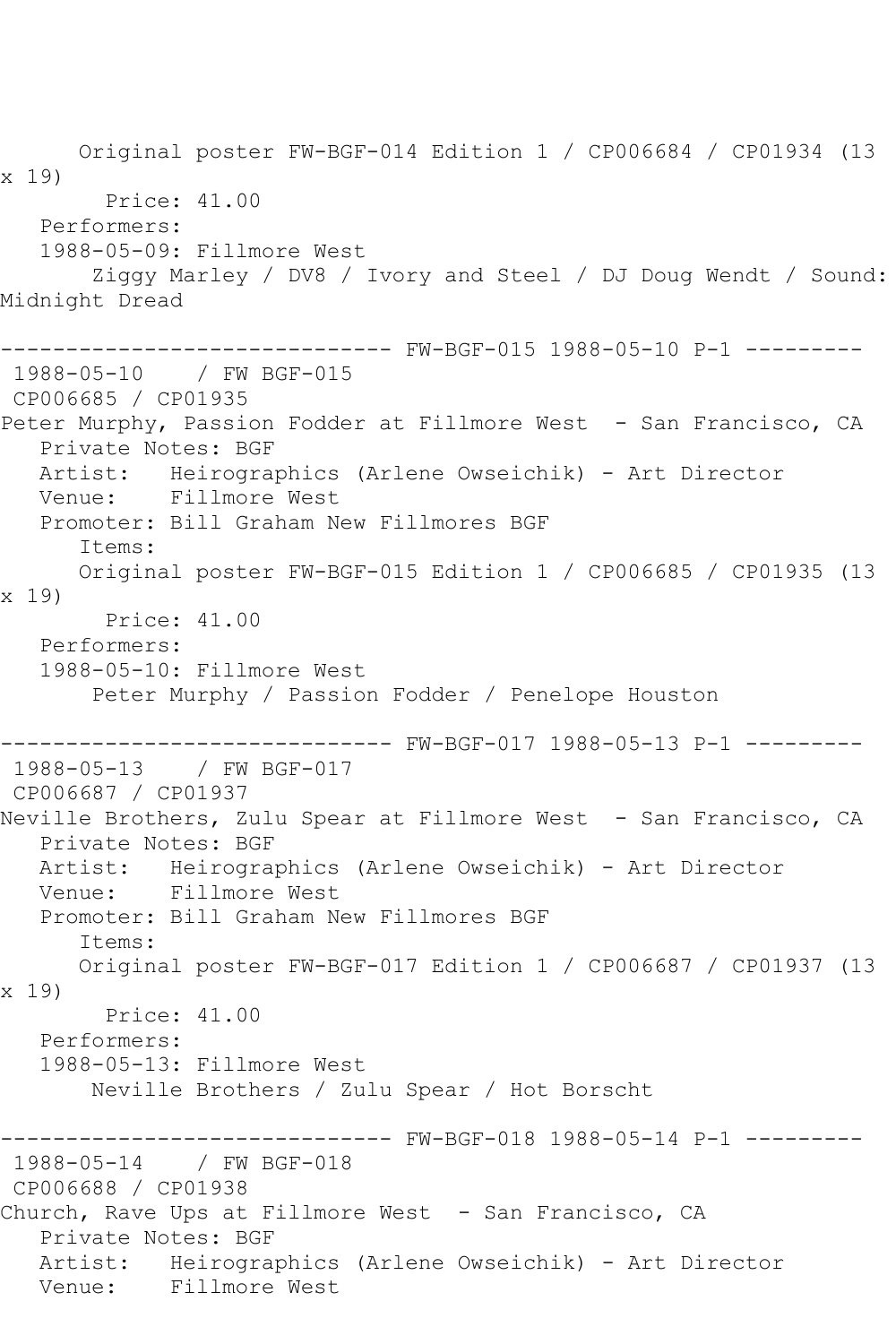Original poster FW-BGF-014 Edition 1 / CP006684 / CP01934 (13 x 19) Price: 41.00 Performers: 1988-05-09: Fillmore West Ziggy Marley / DV8 / Ivory and Steel / DJ Doug Wendt / Sound: Midnight Dread ------------------------------ FW-BGF-015 1988-05-10 P-1 --------- 1988-05-10 / FW BGF-015 CP006685 / CP01935 Peter Murphy, Passion Fodder at Fillmore West - San Francisco, CA Private Notes: BGF Artist: Heirographics (Arlene Owseichik) - Art Director Venue: Fillmore West Promoter: Bill Graham New Fillmores BGF Items: Original poster FW-BGF-015 Edition 1 / CP006685 / CP01935 (13 x 19) Price: 41.00 Performers: 1988-05-10: Fillmore West Peter Murphy / Passion Fodder / Penelope Houston ------------------------------ FW-BGF-017 1988-05-13 P-1 --------- 1988-05-13 / FW BGF-017 CP006687 / CP01937 Neville Brothers, Zulu Spear at Fillmore West - San Francisco, CA Private Notes: BGF Artist: Heirographics (Arlene Owseichik) - Art Director Venue: Fillmore West Promoter: Bill Graham New Fillmores BGF Items: Original poster FW-BGF-017 Edition 1 / CP006687 / CP01937 (13 x 19) Price: 41.00 Performers: 1988-05-13: Fillmore West Neville Brothers / Zulu Spear / Hot Borscht ------------------------------ FW-BGF-018 1988-05-14 P-1 --------- 1988-05-14 / FW BGF-018 CP006688 / CP01938 Church, Rave Ups at Fillmore West - San Francisco, CA Private Notes: BGF Artist: Heirographics (Arlene Owseichik) - Art Director<br>Venue: Fillmore West Fillmore West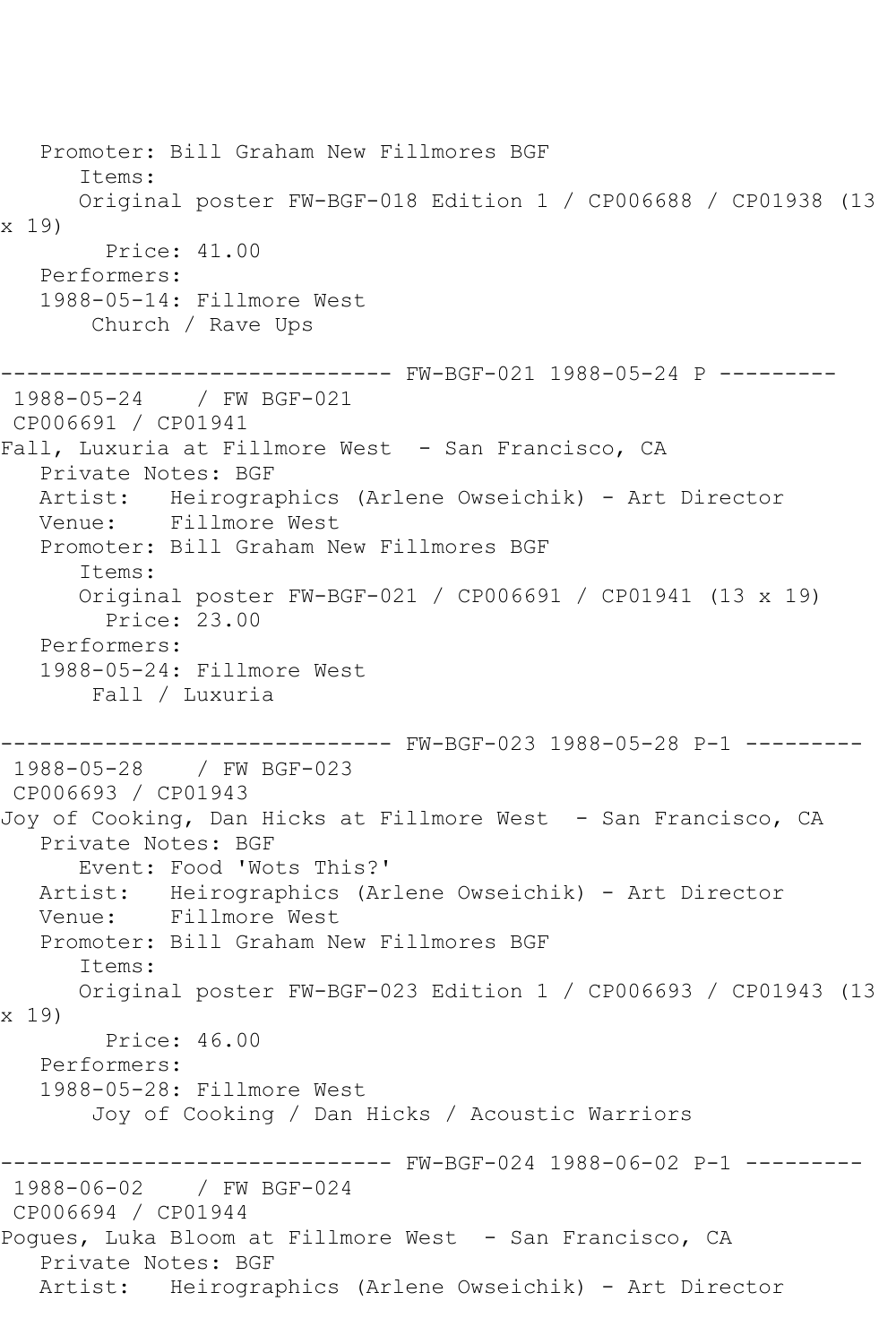Promoter: Bill Graham New Fillmores BGF Items: Original poster FW-BGF-018 Edition 1 / CP006688 / CP01938 (13 x 19) Price: 41.00 Performers: 1988-05-14: Fillmore West Church / Rave Ups ------------------------------ FW-BGF-021 1988-05-24 P --------- 1988-05-24 / FW BGF-021 CP006691 / CP01941 Fall, Luxuria at Fillmore West - San Francisco, CA Private Notes: BGF Artist: Heirographics (Arlene Owseichik) - Art Director Venue: Fillmore West Promoter: Bill Graham New Fillmores BGF Items: Original poster FW-BGF-021 / CP006691 / CP01941 (13 x 19) Price: 23.00 Performers: 1988-05-24: Fillmore West Fall / Luxuria ------------------------------ FW-BGF-023 1988-05-28 P-1 --------- 1988-05-28 / FW BGF-023 CP006693 / CP01943 Joy of Cooking, Dan Hicks at Fillmore West - San Francisco, CA Private Notes: BGF Event: Food 'Wots This?' Artist: Heirographics (Arlene Owseichik) - Art Director Venue: Fillmore West Promoter: Bill Graham New Fillmores BGF Items: Original poster FW-BGF-023 Edition 1 / CP006693 / CP01943 (13 x 19) Price: 46.00 Performers: 1988-05-28: Fillmore West Joy of Cooking / Dan Hicks / Acoustic Warriors ------------------------------ FW-BGF-024 1988-06-02 P-1 --------- 1988-06-02 / FW BGF-024 CP006694 / CP01944 Pogues, Luka Bloom at Fillmore West - San Francisco, CA Private Notes: BGF Artist: Heirographics (Arlene Owseichik) - Art Director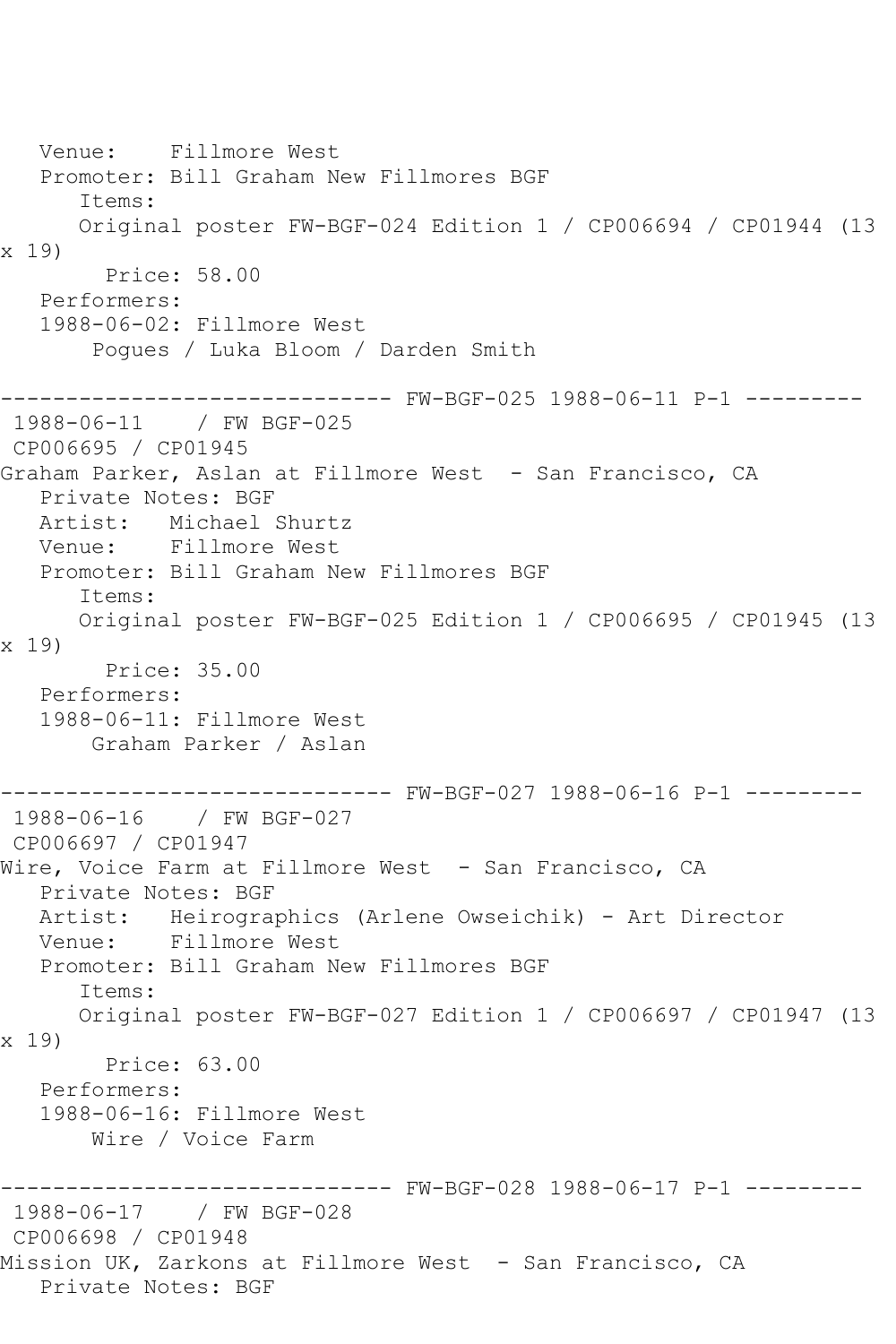Venue: Fillmore West Promoter: Bill Graham New Fillmores BGF Items: Original poster FW-BGF-024 Edition 1 / CP006694 / CP01944 (13 x 19) Price: 58.00 Performers: 1988-06-02: Fillmore West Pogues / Luka Bloom / Darden Smith ------------------------------ FW-BGF-025 1988-06-11 P-1 --------- 1988-06-11 / FW BGF-025 CP006695 / CP01945 Graham Parker, Aslan at Fillmore West - San Francisco, CA Private Notes: BGF Artist: Michael Shurtz Venue: Fillmore West Promoter: Bill Graham New Fillmores BGF Items: Original poster FW-BGF-025 Edition 1 / CP006695 / CP01945 (13 x 19) Price: 35.00 Performers: 1988-06-11: Fillmore West Graham Parker / Aslan ------------------------------ FW-BGF-027 1988-06-16 P-1 --------- 1988-06-16 / FW BGF-027 CP006697 / CP01947 Wire, Voice Farm at Fillmore West - San Francisco, CA Private Notes: BGF Artist: Heirographics (Arlene Owseichik) - Art Director Venue: Fillmore West Promoter: Bill Graham New Fillmores BGF Items: Original poster FW-BGF-027 Edition 1 / CP006697 / CP01947 (13 x 19) Price: 63.00 Performers: 1988-06-16: Fillmore West Wire / Voice Farm ------------------------------ FW-BGF-028 1988-06-17 P-1 --------- 1988-06-17 / FW BGF-028 CP006698 / CP01948 Mission UK, Zarkons at Fillmore West - San Francisco, CA Private Notes: BGF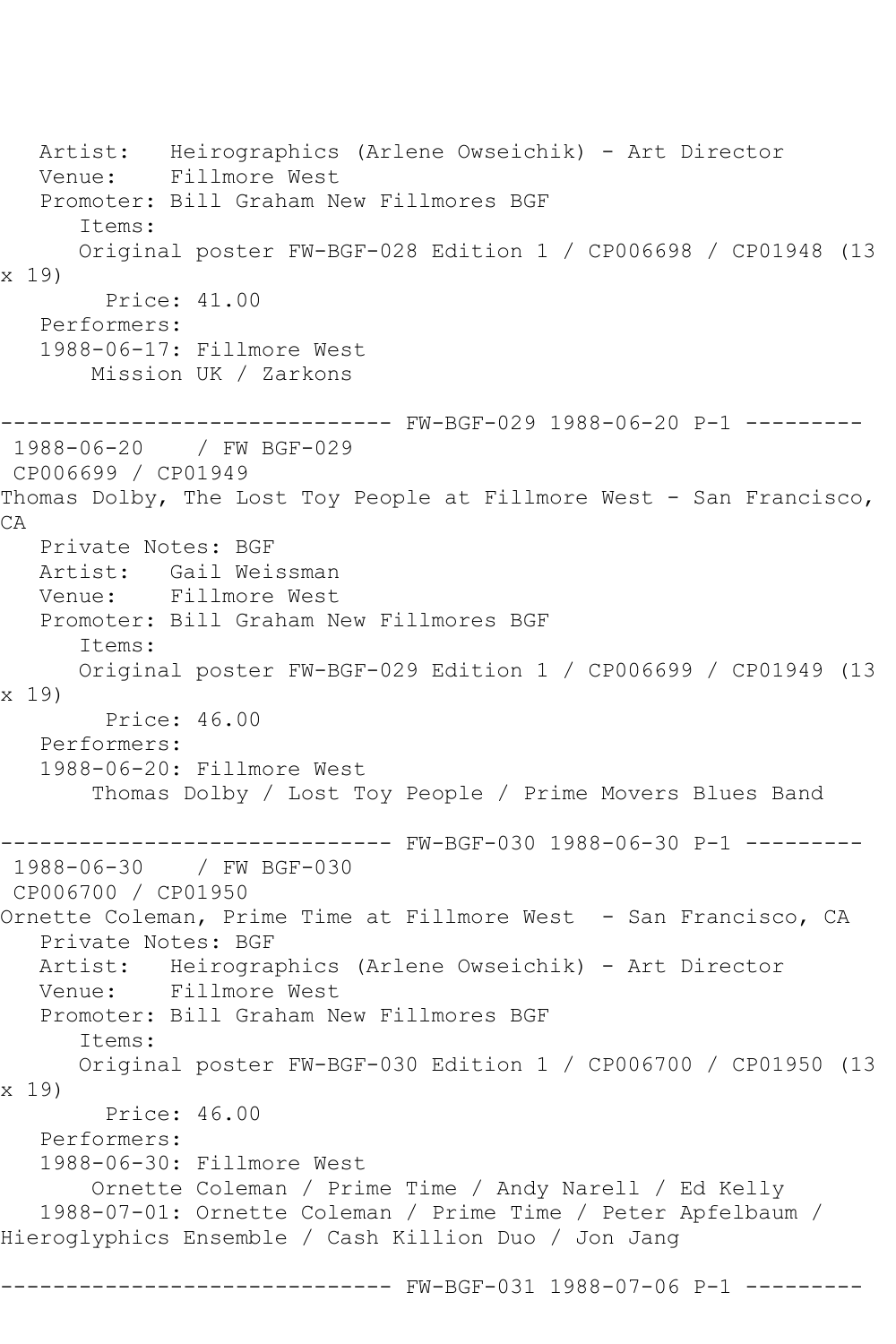Artist: Heirographics (Arlene Owseichik) - Art Director Venue: Fillmore West Promoter: Bill Graham New Fillmores BGF Items: Original poster FW-BGF-028 Edition 1 / CP006698 / CP01948 (13 x 19) Price: 41.00 Performers: 1988-06-17: Fillmore West Mission UK / Zarkons ------------------------------ FW-BGF-029 1988-06-20 P-1 --------- 1988-06-20 / FW BGF-029 CP006699 / CP01949 Thomas Dolby, The Lost Toy People at Fillmore West - San Francisco, CA Private Notes: BGF Artist: Gail Weissman Venue: Fillmore West Promoter: Bill Graham New Fillmores BGF Items: Original poster FW-BGF-029 Edition 1 / CP006699 / CP01949 (13 x 19) Price: 46.00 Performers: 1988-06-20: Fillmore West Thomas Dolby / Lost Toy People / Prime Movers Blues Band ------------------------------ FW-BGF-030 1988-06-30 P-1 --------- 1988-06-30 / FW BGF-030 CP006700 / CP01950 Ornette Coleman, Prime Time at Fillmore West - San Francisco, CA Private Notes: BGF Artist: Heirographics (Arlene Owseichik) - Art Director Venue: Fillmore West Promoter: Bill Graham New Fillmores BGF Items: Original poster FW-BGF-030 Edition 1 / CP006700 / CP01950 (13 x 19) Price: 46.00 Performers: 1988-06-30: Fillmore West Ornette Coleman / Prime Time / Andy Narell / Ed Kelly 1988-07-01: Ornette Coleman / Prime Time / Peter Apfelbaum / Hieroglyphics Ensemble / Cash Killion Duo / Jon Jang ------------------------------ FW-BGF-031 1988-07-06 P-1 ---------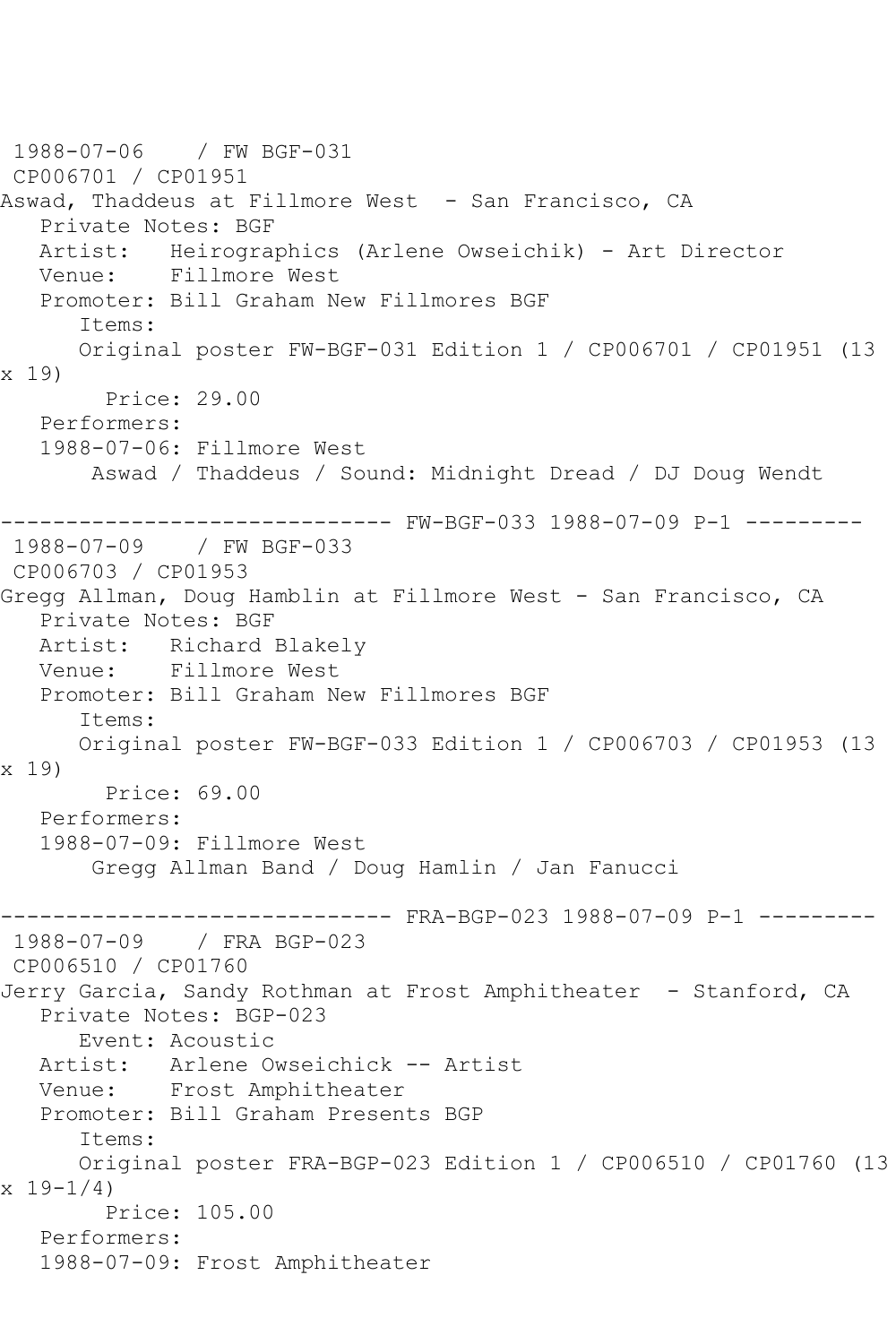1988-07-06 / FW BGF-031 CP006701 / CP01951 Aswad, Thaddeus at Fillmore West - San Francisco, CA Private Notes: BGF Artist: Heirographics (Arlene Owseichik) - Art Director Venue: Fillmore West Promoter: Bill Graham New Fillmores BGF Items: Original poster FW-BGF-031 Edition 1 / CP006701 / CP01951 (13 x 19) Price: 29.00 Performers: 1988-07-06: Fillmore West Aswad / Thaddeus / Sound: Midnight Dread / DJ Doug Wendt ------------------------------ FW-BGF-033 1988-07-09 P-1 --------- 1988-07-09 / FW BGF-033 CP006703 / CP01953 Gregg Allman, Doug Hamblin at Fillmore West - San Francisco, CA Private Notes: BGF Artist: Richard Blakely Venue: Fillmore West Promoter: Bill Graham New Fillmores BGF Items: Original poster FW-BGF-033 Edition 1 / CP006703 / CP01953 (13 x 19) Price: 69.00 Performers: 1988-07-09: Fillmore West Gregg Allman Band / Doug Hamlin / Jan Fanucci ------------------------------ FRA-BGP-023 1988-07-09 P-1 --------- 1988-07-09 / FRA BGP-023 CP006510 / CP01760 Jerry Garcia, Sandy Rothman at Frost Amphitheater - Stanford, CA Private Notes: BGP-023 Event: Acoustic Artist: Arlene Owseichick -- Artist Venue: Frost Amphitheater Promoter: Bill Graham Presents BGP Items: Original poster FRA-BGP-023 Edition 1 / CP006510 / CP01760 (13  $x 19 - 1/4$  Price: 105.00 Performers: 1988-07-09: Frost Amphitheater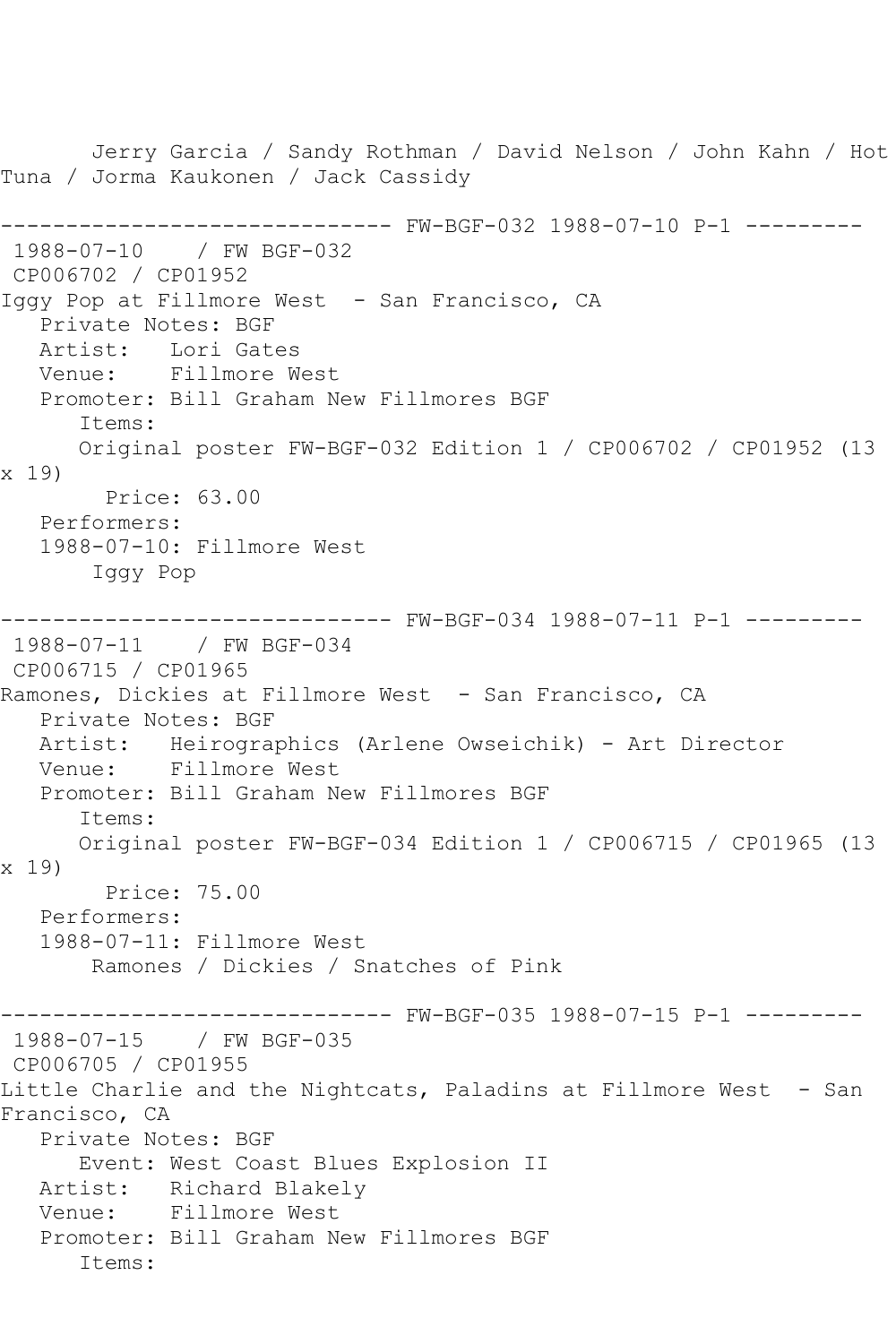Jerry Garcia / Sandy Rothman / David Nelson / John Kahn / Hot Tuna / Jorma Kaukonen / Jack Cassidy ------------------------------ FW-BGF-032 1988-07-10 P-1 --------- 1988-07-10 / FW BGF-032 CP006702 / CP01952 Iggy Pop at Fillmore West - San Francisco, CA Private Notes: BGF Artist: Lori Gates Venue: Fillmore West Promoter: Bill Graham New Fillmores BGF Items: Original poster FW-BGF-032 Edition 1 / CP006702 / CP01952 (13 x 19) Price: 63.00 Performers: 1988-07-10: Fillmore West Iggy Pop ------------------------------ FW-BGF-034 1988-07-11 P-1 --------- 1988-07-11 / FW BGF-034 CP006715 / CP01965 Ramones, Dickies at Fillmore West - San Francisco, CA Private Notes: BGF Artist: Heirographics (Arlene Owseichik) - Art Director<br>Venue: Fillmore West Fillmore West Promoter: Bill Graham New Fillmores BGF Items: Original poster FW-BGF-034 Edition 1 / CP006715 / CP01965 (13 x 19) Price: 75.00 Performers: 1988-07-11: Fillmore West Ramones / Dickies / Snatches of Pink ------------------------------ FW-BGF-035 1988-07-15 P-1 --------- 1988-07-15 / FW BGF-035 CP006705 / CP01955 Little Charlie and the Nightcats, Paladins at Fillmore West - San Francisco, CA Private Notes: BGF Event: West Coast Blues Explosion II Artist: Richard Blakely Venue: Fillmore West Promoter: Bill Graham New Fillmores BGF Items: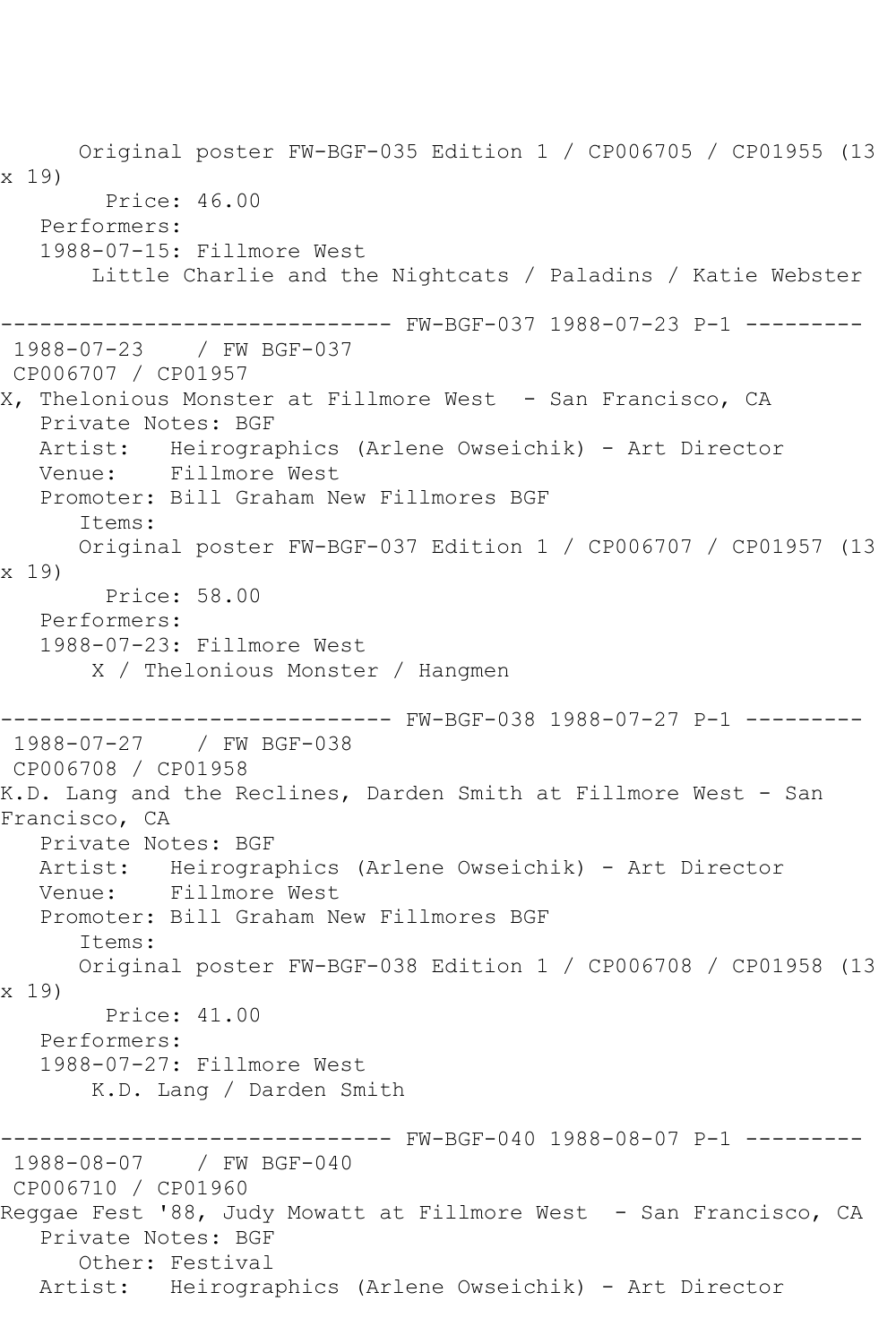Original poster FW-BGF-035 Edition 1 / CP006705 / CP01955 (13 x 19) Price: 46.00 Performers: 1988-07-15: Fillmore West Little Charlie and the Nightcats / Paladins / Katie Webster ------------------------------ FW-BGF-037 1988-07-23 P-1 --------- 1988-07-23 / FW BGF-037 CP006707 / CP01957 X, Thelonious Monster at Fillmore West - San Francisco, CA Private Notes: BGF Artist: Heirographics (Arlene Owseichik) - Art Director Venue: Fillmore West Promoter: Bill Graham New Fillmores BGF Items: Original poster FW-BGF-037 Edition 1 / CP006707 / CP01957 (13 x 19) Price: 58.00 Performers: 1988-07-23: Fillmore West X / Thelonious Monster / Hangmen ------------------------------ FW-BGF-038 1988-07-27 P-1 --------- 1988-07-27 / FW BGF-038 CP006708 / CP01958 K.D. Lang and the Reclines, Darden Smith at Fillmore West - San Francisco, CA Private Notes: BGF Artist: Heirographics (Arlene Owseichik) - Art Director Venue: Fillmore West Promoter: Bill Graham New Fillmores BGF Items: Original poster FW-BGF-038 Edition 1 / CP006708 / CP01958 (13 x 19) Price: 41.00 Performers: 1988-07-27: Fillmore West K.D. Lang / Darden Smith ------------------------------ FW-BGF-040 1988-08-07 P-1 --------- 1988-08-07 / FW BGF-040 CP006710 / CP01960 Reggae Fest '88, Judy Mowatt at Fillmore West - San Francisco, CA Private Notes: BGF Other: Festival Artist: Heirographics (Arlene Owseichik) - Art Director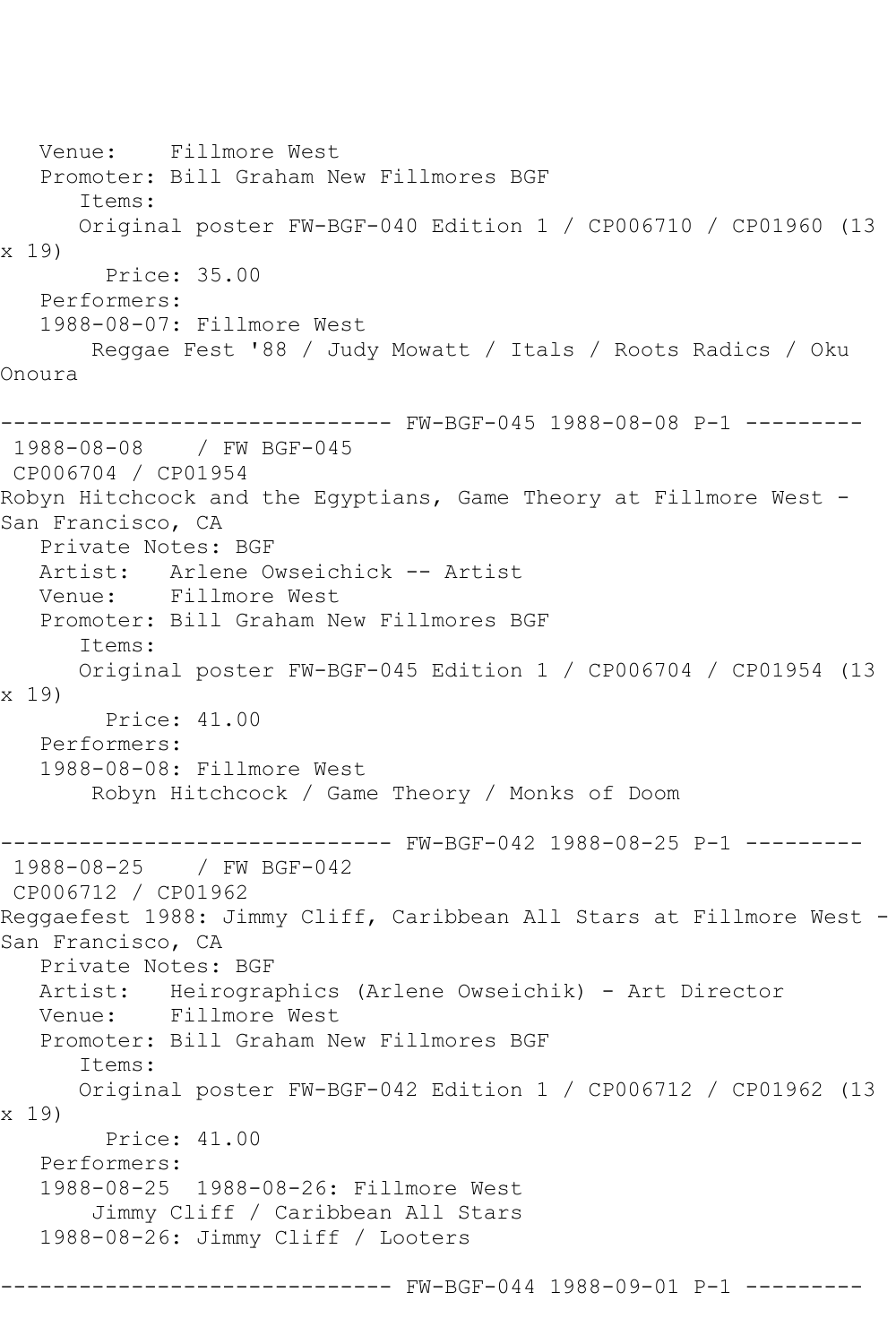Venue: Fillmore West Promoter: Bill Graham New Fillmores BGF Items: Original poster FW-BGF-040 Edition 1 / CP006710 / CP01960 (13 x 19) Price: 35.00 Performers: 1988-08-07: Fillmore West Reggae Fest '88 / Judy Mowatt / Itals / Roots Radics / Oku Onoura ------------------------------ FW-BGF-045 1988-08-08 P-1 --------- 1988-08-08 / FW BGF-045 CP006704 / CP01954 Robyn Hitchcock and the Egyptians, Game Theory at Fillmore West -San Francisco, CA Private Notes: BGF Artist: Arlene Owseichick -- Artist Venue: Fillmore West Promoter: Bill Graham New Fillmores BGF Items: Original poster FW-BGF-045 Edition 1 / CP006704 / CP01954 (13 x 19) Price: 41.00 Performers: 1988-08-08: Fillmore West Robyn Hitchcock / Game Theory / Monks of Doom ------------------------------ FW-BGF-042 1988-08-25 P-1 --------- 1988-08-25 / FW BGF-042 CP006712 / CP01962 Reggaefest 1988: Jimmy Cliff, Caribbean All Stars at Fillmore West - San Francisco, CA Private Notes: BGF Artist: Heirographics (Arlene Owseichik) - Art Director Venue: Fillmore West Promoter: Bill Graham New Fillmores BGF Items: Original poster FW-BGF-042 Edition 1 / CP006712 / CP01962 (13 x 19) Price: 41.00 Performers: 1988-08-25 1988-08-26: Fillmore West Jimmy Cliff / Caribbean All Stars 1988-08-26: Jimmy Cliff / Looters ------------------------------ FW-BGF-044 1988-09-01 P-1 ---------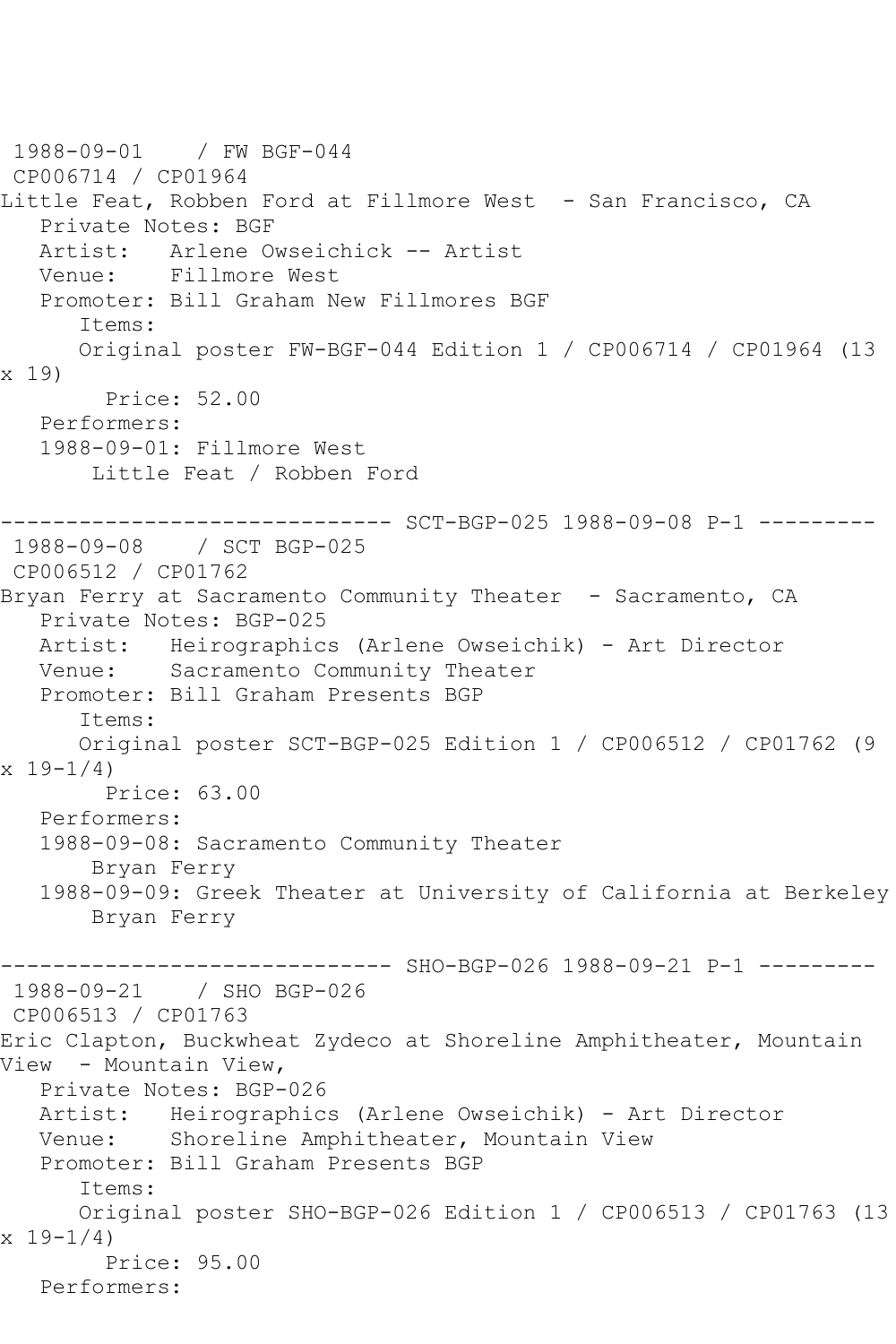1988-09-01 / FW BGF-044 CP006714 / CP01964 Little Feat, Robben Ford at Fillmore West - San Francisco, CA Private Notes: BGF Artist: Arlene Owseichick -- Artist Venue: Fillmore West Promoter: Bill Graham New Fillmores BGF Items: Original poster FW-BGF-044 Edition 1 / CP006714 / CP01964 (13 x 19) Price: 52.00 Performers: 1988-09-01: Fillmore West Little Feat / Robben Ford ------------------------------ SCT-BGP-025 1988-09-08 P-1 --------- 1988-09-08 / SCT BGP-025 CP006512 / CP01762 Bryan Ferry at Sacramento Community Theater - Sacramento, CA Private Notes: BGP-025 Artist: Heirographics (Arlene Owseichik) - Art Director Venue: Sacramento Community Theater Promoter: Bill Graham Presents BGP Items: Original poster SCT-BGP-025 Edition 1 / CP006512 / CP01762 (9  $x 19-1/4$  Price: 63.00 Performers: 1988-09-08: Sacramento Community Theater Bryan Ferry 1988-09-09: Greek Theater at University of California at Berkeley Bryan Ferry ------------------------------ SHO-BGP-026 1988-09-21 P-1 --------- 1988-09-21 / SHO BGP-026 CP006513 / CP01763 Eric Clapton, Buckwheat Zydeco at Shoreline Amphitheater, Mountain View - Mountain View, Private Notes: BGP-026 Artist: Heirographics (Arlene Owseichik) - Art Director Venue: Shoreline Amphitheater, Mountain View Promoter: Bill Graham Presents BGP Items: Original poster SHO-BGP-026 Edition 1 / CP006513 / CP01763 (13  $x 19-1/4$  Price: 95.00 Performers: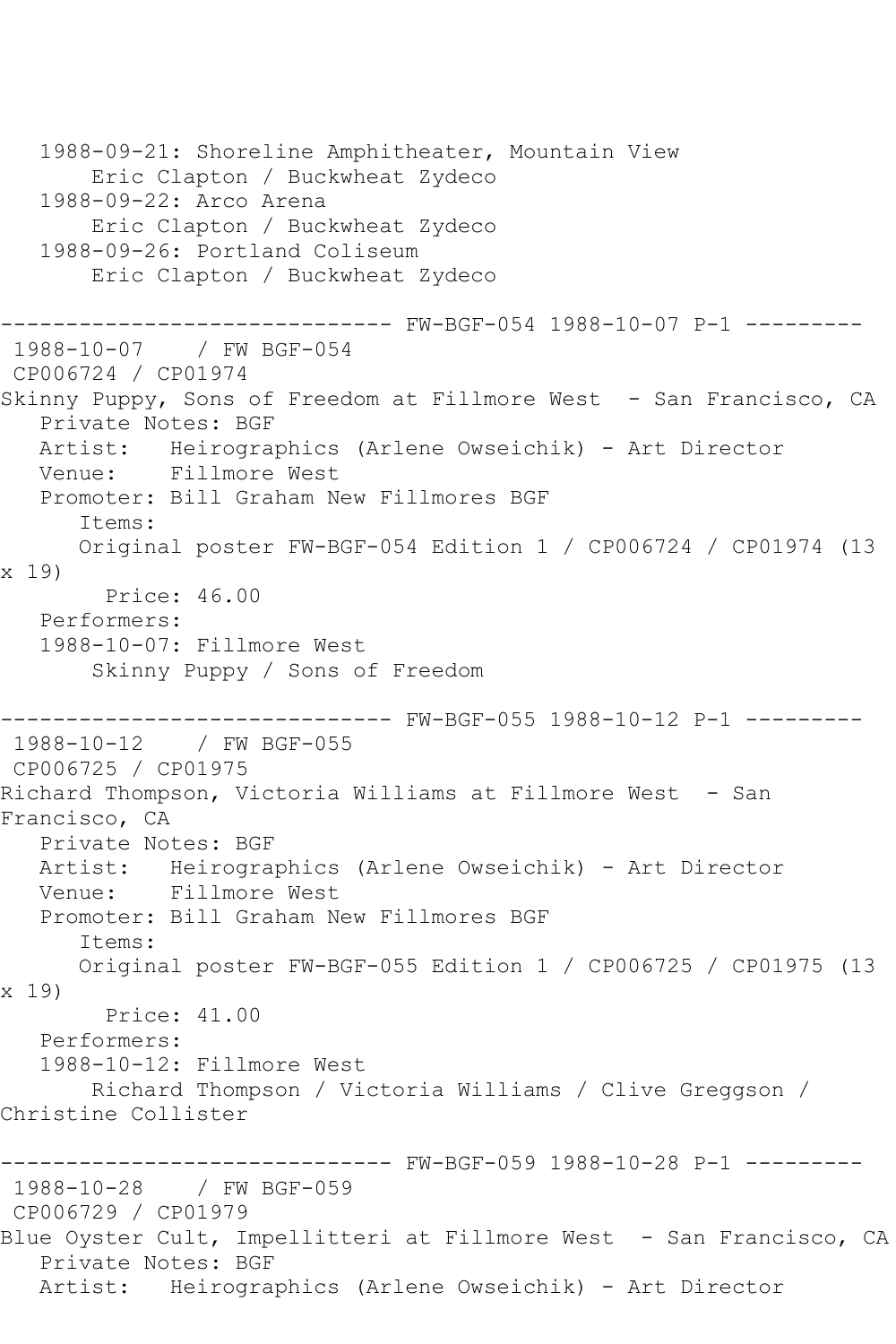1988-09-21: Shoreline Amphitheater, Mountain View Eric Clapton / Buckwheat Zydeco 1988-09-22: Arco Arena Eric Clapton / Buckwheat Zydeco 1988-09-26: Portland Coliseum Eric Clapton / Buckwheat Zydeco ------------------------------ FW-BGF-054 1988-10-07 P-1 --------- 1988-10-07 / FW BGF-054 CP006724 / CP01974 Skinny Puppy, Sons of Freedom at Fillmore West - San Francisco, CA Private Notes: BGF Artist: Heirographics (Arlene Owseichik) - Art Director Venue: Fillmore West Promoter: Bill Graham New Fillmores BGF Items: Original poster FW-BGF-054 Edition 1 / CP006724 / CP01974 (13 x 19) Price: 46.00 Performers: 1988-10-07: Fillmore West Skinny Puppy / Sons of Freedom ------------------------------ FW-BGF-055 1988-10-12 P-1 --------- 1988-10-12 / FW BGF-055 CP006725 / CP01975 Richard Thompson, Victoria Williams at Fillmore West - San Francisco, CA Private Notes: BGF Artist: Heirographics (Arlene Owseichik) - Art Director Venue: Fillmore West Promoter: Bill Graham New Fillmores BGF Items: Original poster FW-BGF-055 Edition 1 / CP006725 / CP01975 (13 x 19) Price: 41.00 Performers: 1988-10-12: Fillmore West Richard Thompson / Victoria Williams / Clive Greggson / Christine Collister ------------------------------ FW-BGF-059 1988-10-28 P-1 --------- 1988-10-28 / FW BGF-059 CP006729 / CP01979 Blue Oyster Cult, Impellitteri at Fillmore West - San Francisco, CA Private Notes: BGF Artist: Heirographics (Arlene Owseichik) - Art Director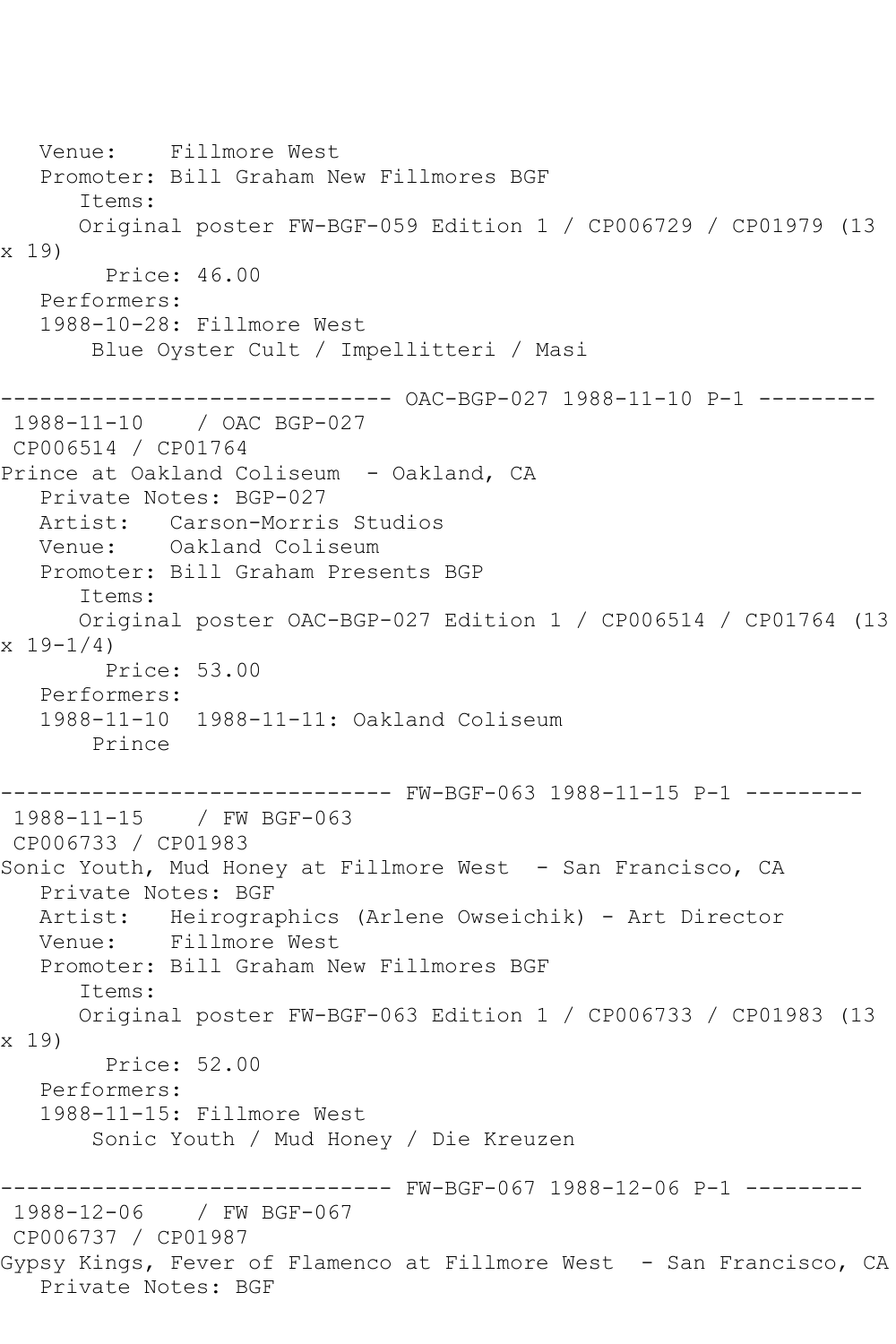Venue: Fillmore West Promoter: Bill Graham New Fillmores BGF Items: Original poster FW-BGF-059 Edition 1 / CP006729 / CP01979 (13 x 19) Price: 46.00 Performers: 1988-10-28: Fillmore West Blue Oyster Cult / Impellitteri / Masi ------------------------------ OAC-BGP-027 1988-11-10 P-1 --------- 1988-11-10 / OAC BGP-027 CP006514 / CP01764 Prince at Oakland Coliseum - Oakland, CA Private Notes: BGP-027 Artist: Carson-Morris Studios Venue: Oakland Coliseum Promoter: Bill Graham Presents BGP Items: Original poster OAC-BGP-027 Edition 1 / CP006514 / CP01764 (13  $x 19 - 1/4$  Price: 53.00 Performers: 1988-11-10 1988-11-11: Oakland Coliseum Prince ------------------------------ FW-BGF-063 1988-11-15 P-1 --------- 1988-11-15 / FW BGF-063 CP006733 / CP01983 Sonic Youth, Mud Honey at Fillmore West - San Francisco, CA Private Notes: BGF Artist: Heirographics (Arlene Owseichik) - Art Director Venue: Fillmore West Promoter: Bill Graham New Fillmores BGF Items: Original poster FW-BGF-063 Edition 1 / CP006733 / CP01983 (13 x 19) Price: 52.00 Performers: 1988-11-15: Fillmore West Sonic Youth / Mud Honey / Die Kreuzen ------------------------------ FW-BGF-067 1988-12-06 P-1 --------- 1988-12-06 / FW BGF-067 CP006737 / CP01987 Gypsy Kings, Fever of Flamenco at Fillmore West - San Francisco, CA Private Notes: BGF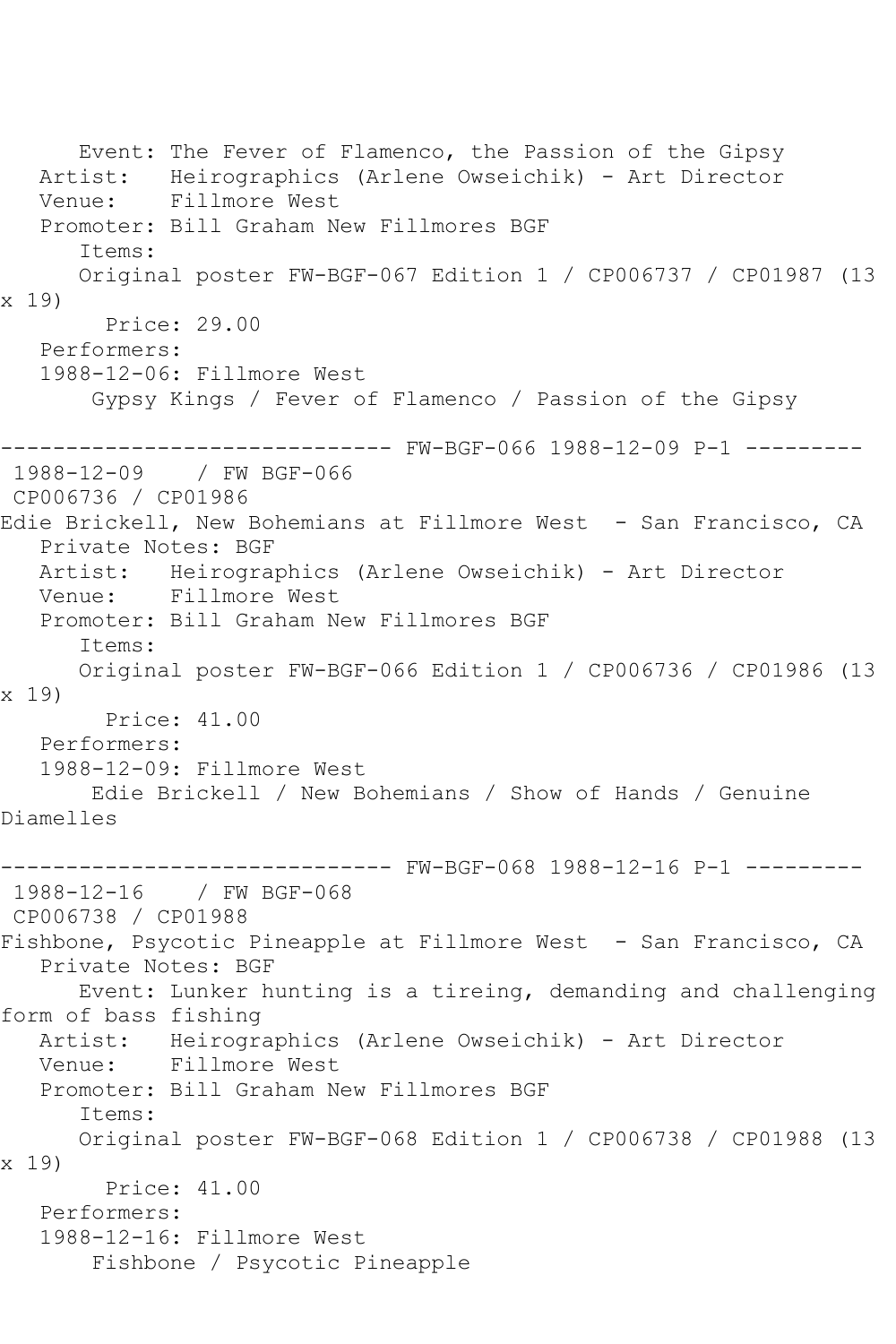Event: The Fever of Flamenco, the Passion of the Gipsy Artist: Heirographics (Arlene Owseichik) - Art Director Venue: Fillmore West Promoter: Bill Graham New Fillmores BGF Items: Original poster FW-BGF-067 Edition 1 / CP006737 / CP01987 (13 x 19) Price: 29.00 Performers: 1988-12-06: Fillmore West Gypsy Kings / Fever of Flamenco / Passion of the Gipsy ------------------------------ FW-BGF-066 1988-12-09 P-1 --------- 1988-12-09 / FW BGF-066 CP006736 / CP01986 Edie Brickell, New Bohemians at Fillmore West - San Francisco, CA Private Notes: BGF Artist: Heirographics (Arlene Owseichik) - Art Director<br>Venue: Fillmore West Fillmore West Promoter: Bill Graham New Fillmores BGF Items: Original poster FW-BGF-066 Edition 1 / CP006736 / CP01986 (13 x 19) Price: 41.00 Performers: 1988-12-09: Fillmore West Edie Brickell / New Bohemians / Show of Hands / Genuine Diamelles ------------------------------ FW-BGF-068 1988-12-16 P-1 --------- 1988-12-16 / FW BGF-068 CP006738 / CP01988 Fishbone, Psycotic Pineapple at Fillmore West - San Francisco, CA Private Notes: BGF Event: Lunker hunting is a tireing, demanding and challenging form of bass fishing Artist: Heirographics (Arlene Owseichik) - Art Director Venue: Fillmore West Promoter: Bill Graham New Fillmores BGF Items: Original poster FW-BGF-068 Edition 1 / CP006738 / CP01988 (13 x 19) Price: 41.00 Performers: 1988-12-16: Fillmore West Fishbone / Psycotic Pineapple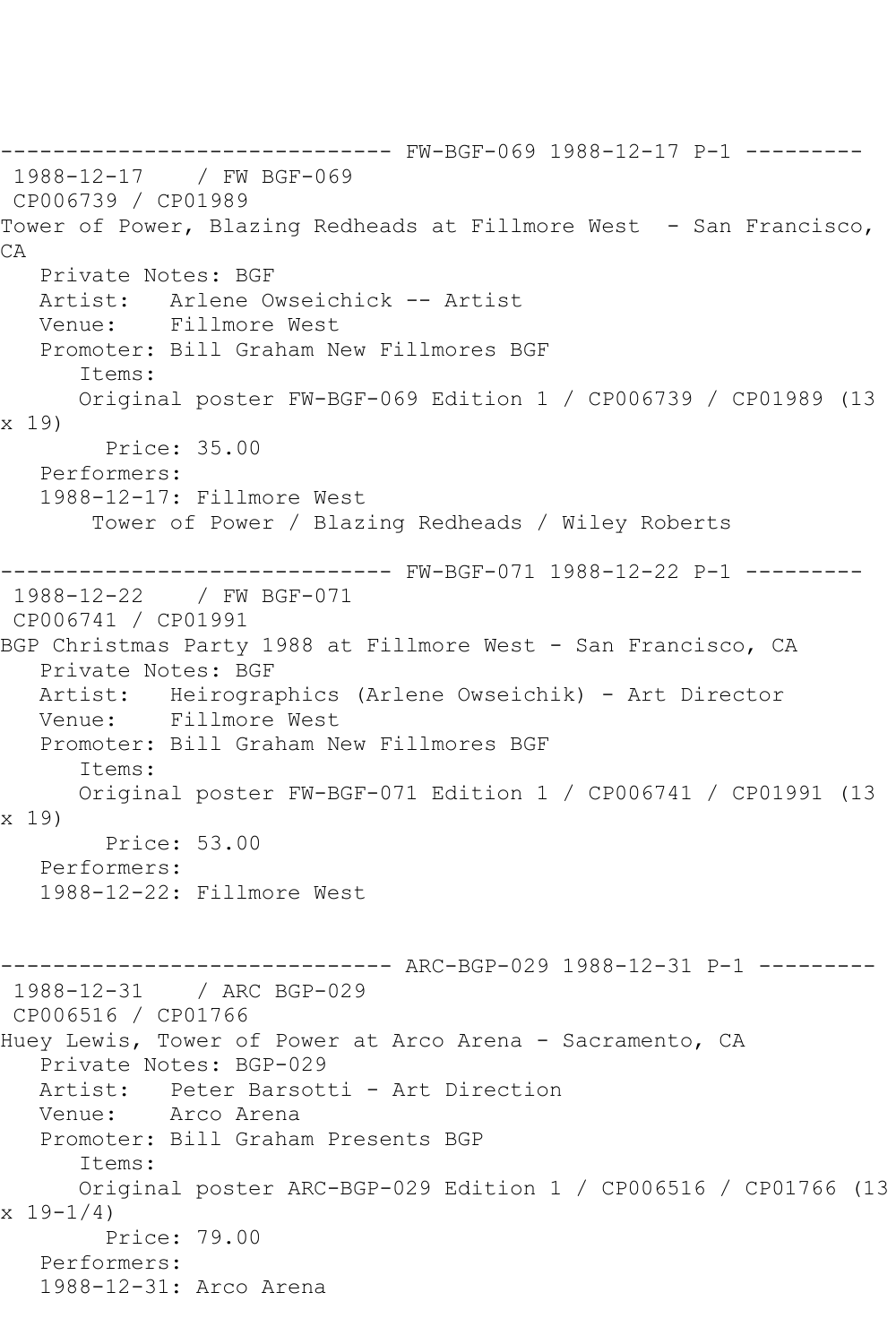------------------------------ FW-BGF-069 1988-12-17 P-1 --------- 1988-12-17 / FW BGF-069 CP006739 / CP01989 Tower of Power, Blazing Redheads at Fillmore West - San Francisco, CA Private Notes: BGF Artist: Arlene Owseichick -- Artist Venue: Fillmore West Promoter: Bill Graham New Fillmores BGF Items: Original poster FW-BGF-069 Edition 1 / CP006739 / CP01989 (13 x 19) Price: 35.00 Performers: 1988-12-17: Fillmore West Tower of Power / Blazing Redheads / Wiley Roberts ------------------------------ FW-BGF-071 1988-12-22 P-1 --------- 1988-12-22 / FW BGF-071 CP006741 / CP01991 BGP Christmas Party 1988 at Fillmore West - San Francisco, CA Private Notes: BGF Artist: Heirographics (Arlene Owseichik) - Art Director Venue: Fillmore West Promoter: Bill Graham New Fillmores BGF Items: Original poster FW-BGF-071 Edition 1 / CP006741 / CP01991 (13 x 19) Price: 53.00 Performers: 1988-12-22: Fillmore West ------------------------------ ARC-BGP-029 1988-12-31 P-1 --------- 1988-12-31 / ARC BGP-029 CP006516 / CP01766 Huey Lewis, Tower of Power at Arco Arena - Sacramento, CA Private Notes: BGP-029 Artist: Peter Barsotti - Art Direction Venue: Arco Arena Promoter: Bill Graham Presents BGP Items: Original poster ARC-BGP-029 Edition 1 / CP006516 / CP01766 (13  $x 19 - 1/4$  Price: 79.00 Performers: 1988-12-31: Arco Arena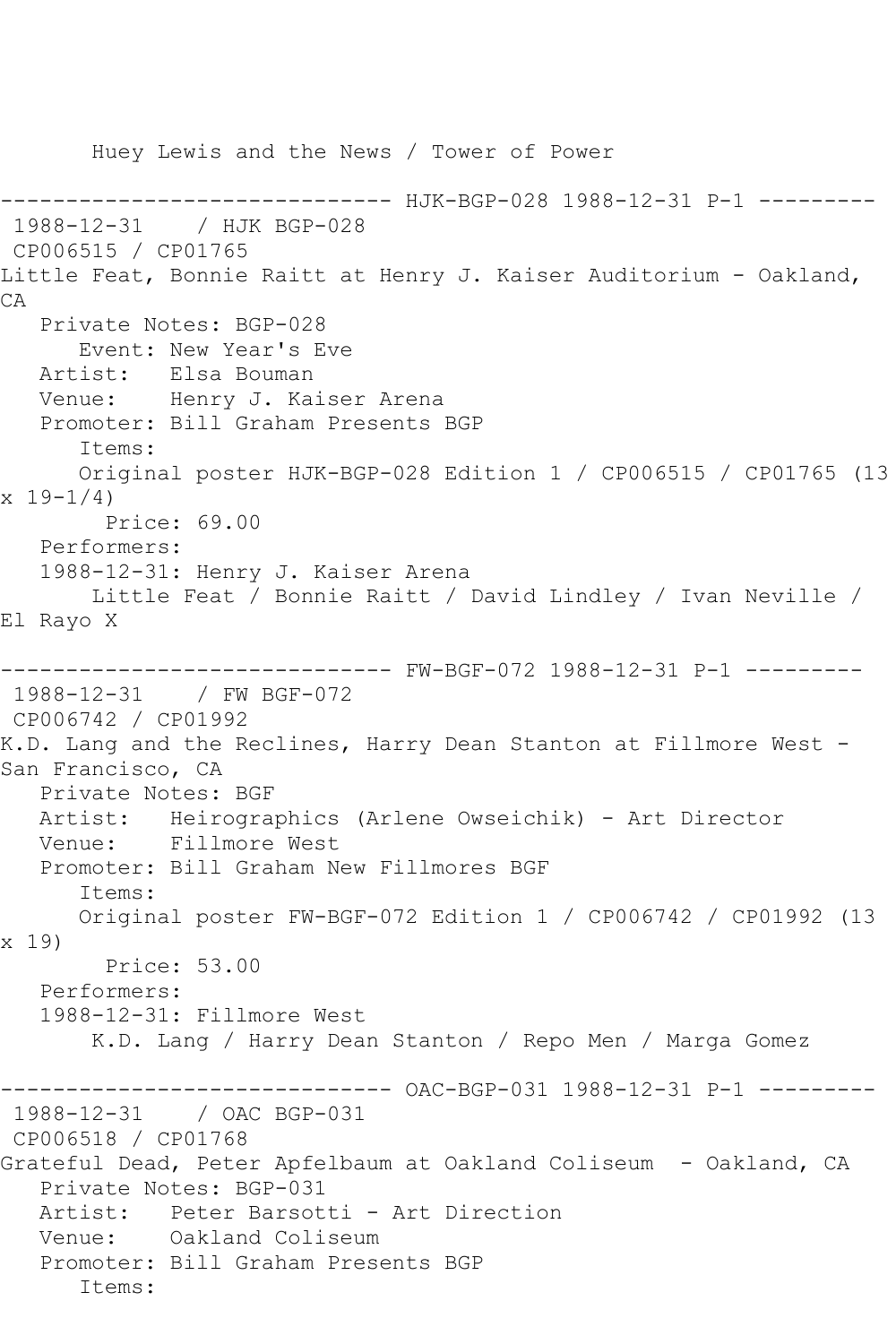Huey Lewis and the News / Tower of Power -------------- HJK-BGP-028 1988-12-31 P-1 ---------1988-12-31 / HJK BGP-028 CP006515 / CP01765 Little Feat, Bonnie Raitt at Henry J. Kaiser Auditorium - Oakland, CA Private Notes: BGP-028 Event: New Year's Eve Artist: Elsa Bouman Venue: Henry J. Kaiser Arena Promoter: Bill Graham Presents BGP Items: Original poster HJK-BGP-028 Edition 1 / CP006515 / CP01765 (13 x 19-1/4) Price: 69.00 Performers: 1988-12-31: Henry J. Kaiser Arena Little Feat / Bonnie Raitt / David Lindley / Ivan Neville / El Rayo X ------------------------------ FW-BGF-072 1988-12-31 P-1 --------- 1988-12-31 / FW BGF-072 CP006742 / CP01992 K.D. Lang and the Reclines, Harry Dean Stanton at Fillmore West - San Francisco, CA Private Notes: BGF Artist: Heirographics (Arlene Owseichik) - Art Director Venue: Fillmore West Promoter: Bill Graham New Fillmores BGF Items: Original poster FW-BGF-072 Edition 1 / CP006742 / CP01992 (13 x 19) Price: 53.00 Performers: 1988-12-31: Fillmore West K.D. Lang / Harry Dean Stanton / Repo Men / Marga Gomez ------------------------------ OAC-BGP-031 1988-12-31 P-1 --------- 1988-12-31 / OAC BGP-031 CP006518 / CP01768 Grateful Dead, Peter Apfelbaum at Oakland Coliseum - Oakland, CA Private Notes: BGP-031 Artist: Peter Barsotti - Art Direction Venue: Oakland Coliseum Promoter: Bill Graham Presents BGP Items: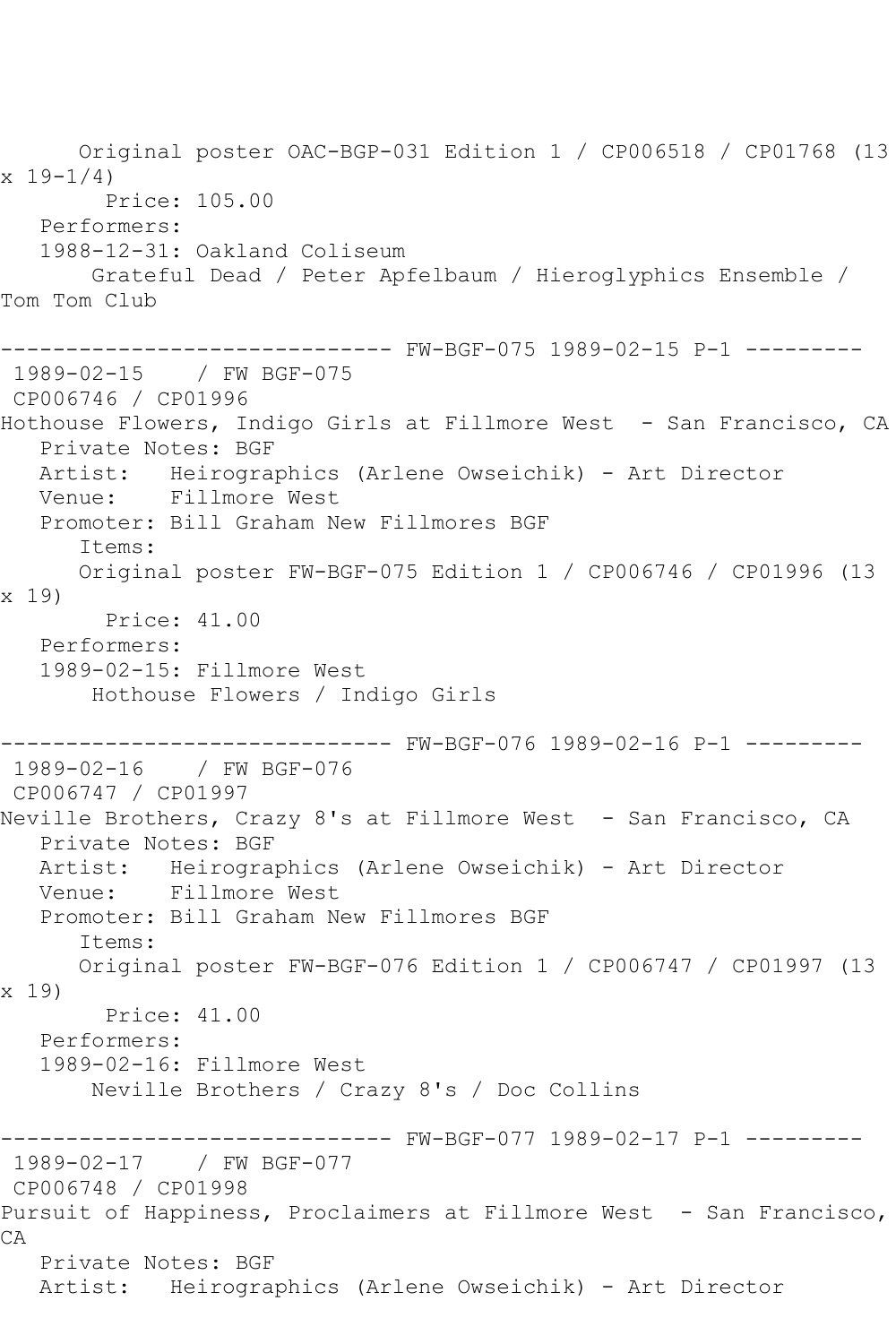Original poster OAC-BGP-031 Edition 1 / CP006518 / CP01768 (13  $x 19 - 1/4$  Price: 105.00 Performers: 1988-12-31: Oakland Coliseum Grateful Dead / Peter Apfelbaum / Hieroglyphics Ensemble / Tom Tom Club ------------------------------ FW-BGF-075 1989-02-15 P-1 --------- 1989-02-15 / FW BGF-075 CP006746 / CP01996 Hothouse Flowers, Indigo Girls at Fillmore West - San Francisco, CA Private Notes: BGF Artist: Heirographics (Arlene Owseichik) - Art Director Venue: Fillmore West Promoter: Bill Graham New Fillmores BGF Items: Original poster FW-BGF-075 Edition 1 / CP006746 / CP01996 (13 x 19) Price: 41.00 Performers: 1989-02-15: Fillmore West Hothouse Flowers / Indigo Girls ------------------------------ FW-BGF-076 1989-02-16 P-1 --------- 1989-02-16 / FW BGF-076 CP006747 / CP01997 Neville Brothers, Crazy 8's at Fillmore West - San Francisco, CA Private Notes: BGF Artist: Heirographics (Arlene Owseichik) - Art Director Venue: Fillmore West Promoter: Bill Graham New Fillmores BGF Items: Original poster FW-BGF-076 Edition 1 / CP006747 / CP01997 (13 x 19) Price: 41.00 Performers: 1989-02-16: Fillmore West Neville Brothers / Crazy 8's / Doc Collins ------------------------------ FW-BGF-077 1989-02-17 P-1 --------- 1989-02-17 / FW BGF-077 CP006748 / CP01998 Pursuit of Happiness, Proclaimers at Fillmore West - San Francisco, CA Private Notes: BGF Artist: Heirographics (Arlene Owseichik) - Art Director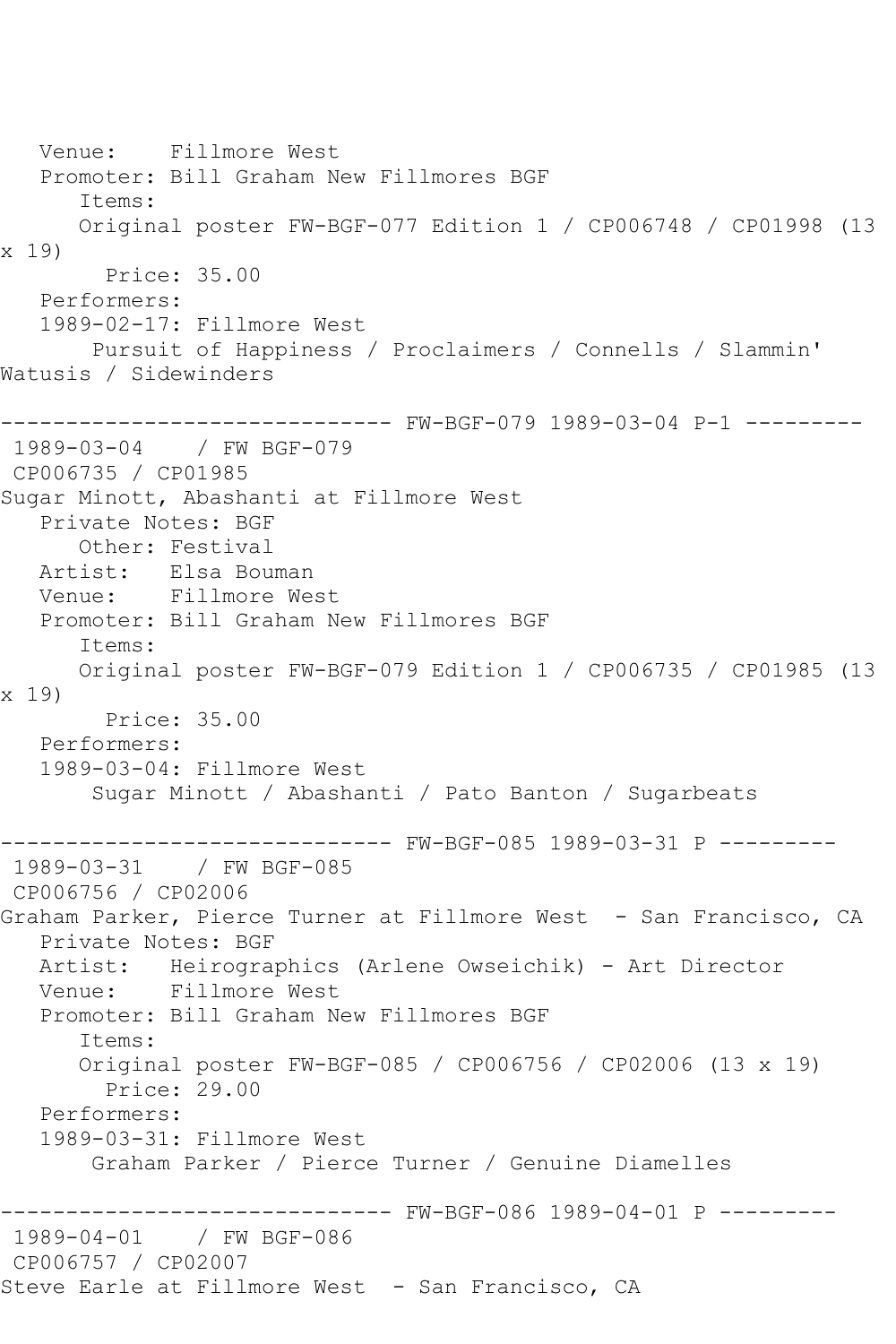Venue: Fillmore West Promoter: Bill Graham New Fillmores BGF Items: Original poster FW-BGF-077 Edition 1 / CP006748 / CP01998 (13 x 19) Price: 35.00 Performers: 1989-02-17: Fillmore West Pursuit of Happiness / Proclaimers / Connells / Slammin' Watusis / Sidewinders ------------------------------ FW-BGF-079 1989-03-04 P-1 --------- 1989-03-04 / FW BGF-079 CP006735 / CP01985 Sugar Minott, Abashanti at Fillmore West Private Notes: BGF Other: Festival Artist: Elsa Bouman Venue: Fillmore West Promoter: Bill Graham New Fillmores BGF Items: Original poster FW-BGF-079 Edition 1 / CP006735 / CP01985 (13 x 19) Price: 35.00 Performers: 1989-03-04: Fillmore West Sugar Minott / Abashanti / Pato Banton / Sugarbeats ------------------------------ FW-BGF-085 1989-03-31 P --------- 1989-03-31 / FW BGF-085 CP006756 / CP02006 Graham Parker, Pierce Turner at Fillmore West - San Francisco, CA Private Notes: BGF Artist: Heirographics (Arlene Owseichik) - Art Director Venue: Fillmore West Promoter: Bill Graham New Fillmores BGF Items: Original poster FW-BGF-085 / CP006756 / CP02006 (13 x 19) Price: 29.00 Performers: 1989-03-31: Fillmore West Graham Parker / Pierce Turner / Genuine Diamelles ------------------------------ FW-BGF-086 1989-04-01 P --------- 1989-04-01 / FW BGF-086 CP006757 / CP02007 Steve Earle at Fillmore West - San Francisco, CA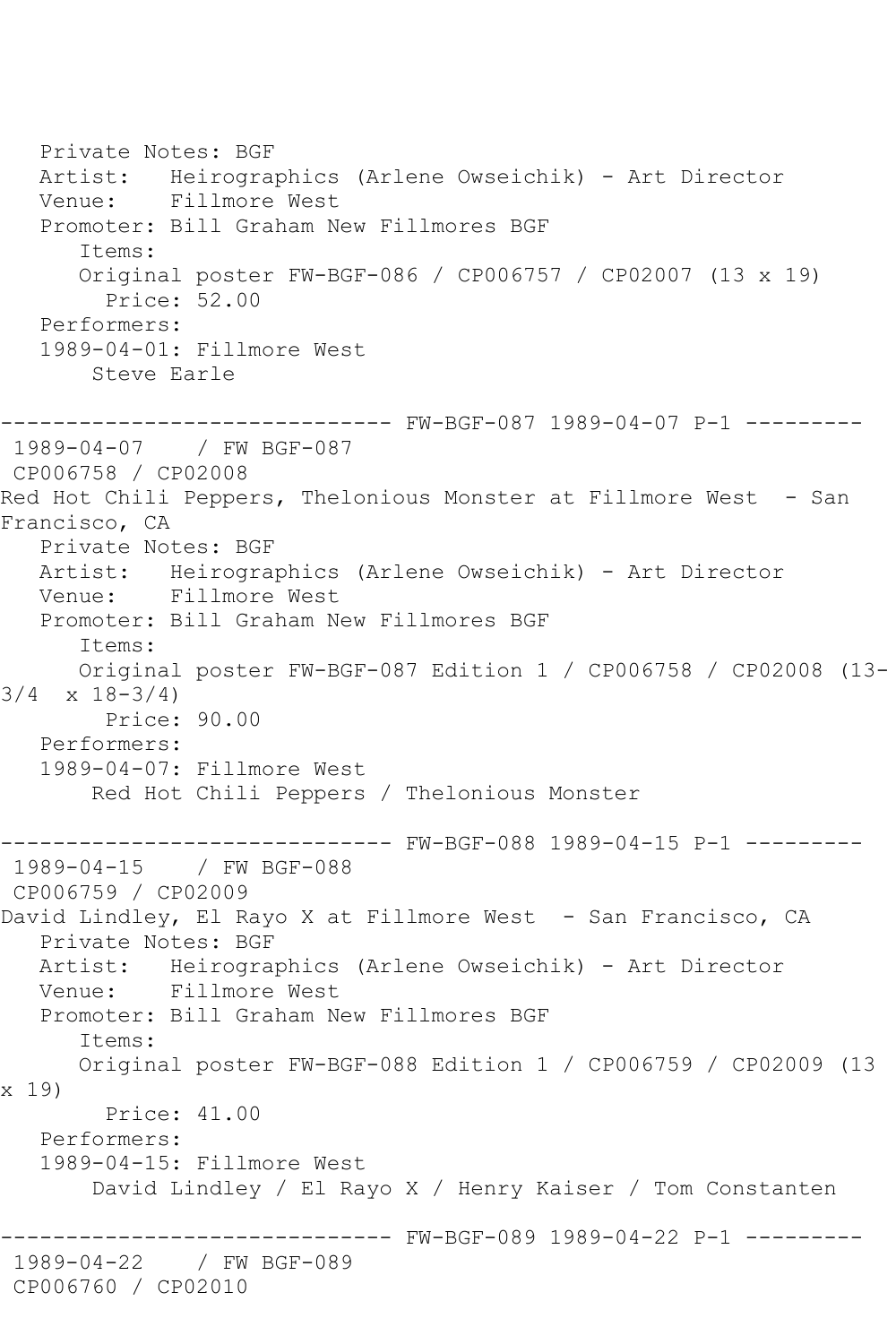Private Notes: BGF Artist: Heirographics (Arlene Owseichik) - Art Director Venue: Fillmore West Promoter: Bill Graham New Fillmores BGF Items: Original poster FW-BGF-086 / CP006757 / CP02007 (13 x 19) Price: 52.00 Performers: 1989-04-01: Fillmore West Steve Earle ------------------------------ FW-BGF-087 1989-04-07 P-1 --------- 1989-04-07 / FW BGF-087 CP006758 / CP02008 Red Hot Chili Peppers, Thelonious Monster at Fillmore West - San Francisco, CA Private Notes: BGF Artist: Heirographics (Arlene Owseichik) - Art Director Venue: Fillmore West Promoter: Bill Graham New Fillmores BGF Items: Original poster FW-BGF-087 Edition 1 / CP006758 / CP02008 (13-  $3/4 \times 18 - 3/4$  Price: 90.00 Performers: 1989-04-07: Fillmore West Red Hot Chili Peppers / Thelonious Monster ------------------------------ FW-BGF-088 1989-04-15 P-1 --------- 1989-04-15 / FW BGF-088 CP006759 / CP02009 David Lindley, El Rayo X at Fillmore West - San Francisco, CA Private Notes: BGF Artist: Heirographics (Arlene Owseichik) - Art Director Venue: Fillmore West Promoter: Bill Graham New Fillmores BGF Items: Original poster FW-BGF-088 Edition 1 / CP006759 / CP02009 (13 x 19) Price: 41.00 Performers: 1989-04-15: Fillmore West David Lindley / El Rayo X / Henry Kaiser / Tom Constanten ------------------------------ FW-BGF-089 1989-04-22 P-1 --------- 1989-04-22 / FW BGF-089 CP006760 / CP02010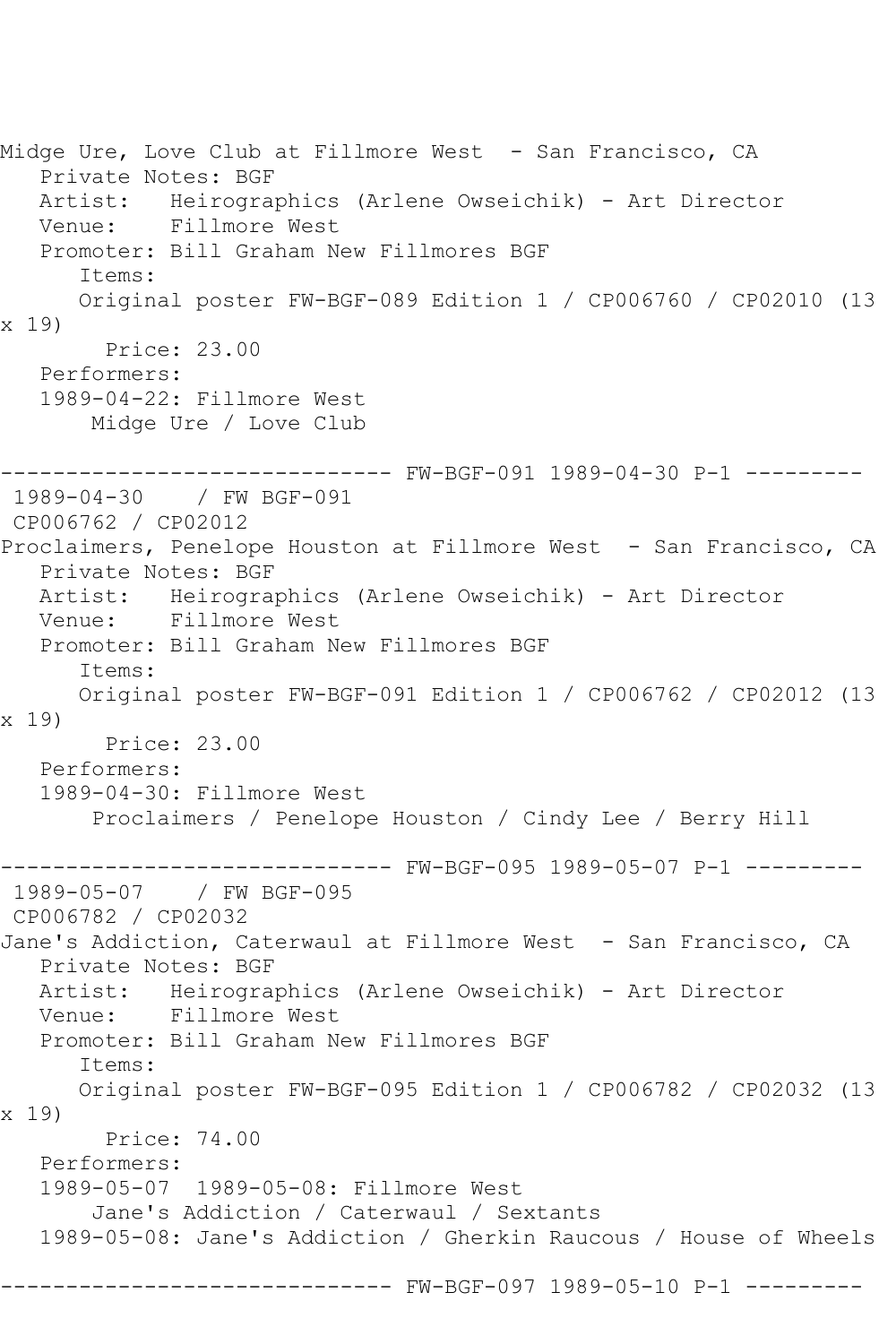Midge Ure, Love Club at Fillmore West - San Francisco, CA Private Notes: BGF Artist: Heirographics (Arlene Owseichik) - Art Director Venue: Fillmore West Promoter: Bill Graham New Fillmores BGF Items: Original poster FW-BGF-089 Edition 1 / CP006760 / CP02010 (13 x 19) Price: 23.00 Performers: 1989-04-22: Fillmore West Midge Ure / Love Club ------------------------------ FW-BGF-091 1989-04-30 P-1 --------- 1989-04-30 / FW BGF-091 CP006762 / CP02012 Proclaimers, Penelope Houston at Fillmore West - San Francisco, CA Private Notes: BGF Artist: Heirographics (Arlene Owseichik) - Art Director Venue: Fillmore West Promoter: Bill Graham New Fillmores BGF Items: Original poster FW-BGF-091 Edition 1 / CP006762 / CP02012 (13 x 19) Price: 23.00 Performers: 1989-04-30: Fillmore West Proclaimers / Penelope Houston / Cindy Lee / Berry Hill ------------------------------ FW-BGF-095 1989-05-07 P-1 --------- 1989-05-07 / FW BGF-095 CP006782 / CP02032 Jane's Addiction, Caterwaul at Fillmore West - San Francisco, CA Private Notes: BGF Artist: Heirographics (Arlene Owseichik) - Art Director Venue: Fillmore West Promoter: Bill Graham New Fillmores BGF Items: Original poster FW-BGF-095 Edition 1 / CP006782 / CP02032 (13 x 19) Price: 74.00 Performers: 1989-05-07 1989-05-08: Fillmore West Jane's Addiction / Caterwaul / Sextants 1989-05-08: Jane's Addiction / Gherkin Raucous / House of Wheels ------------------------------ FW-BGF-097 1989-05-10 P-1 ---------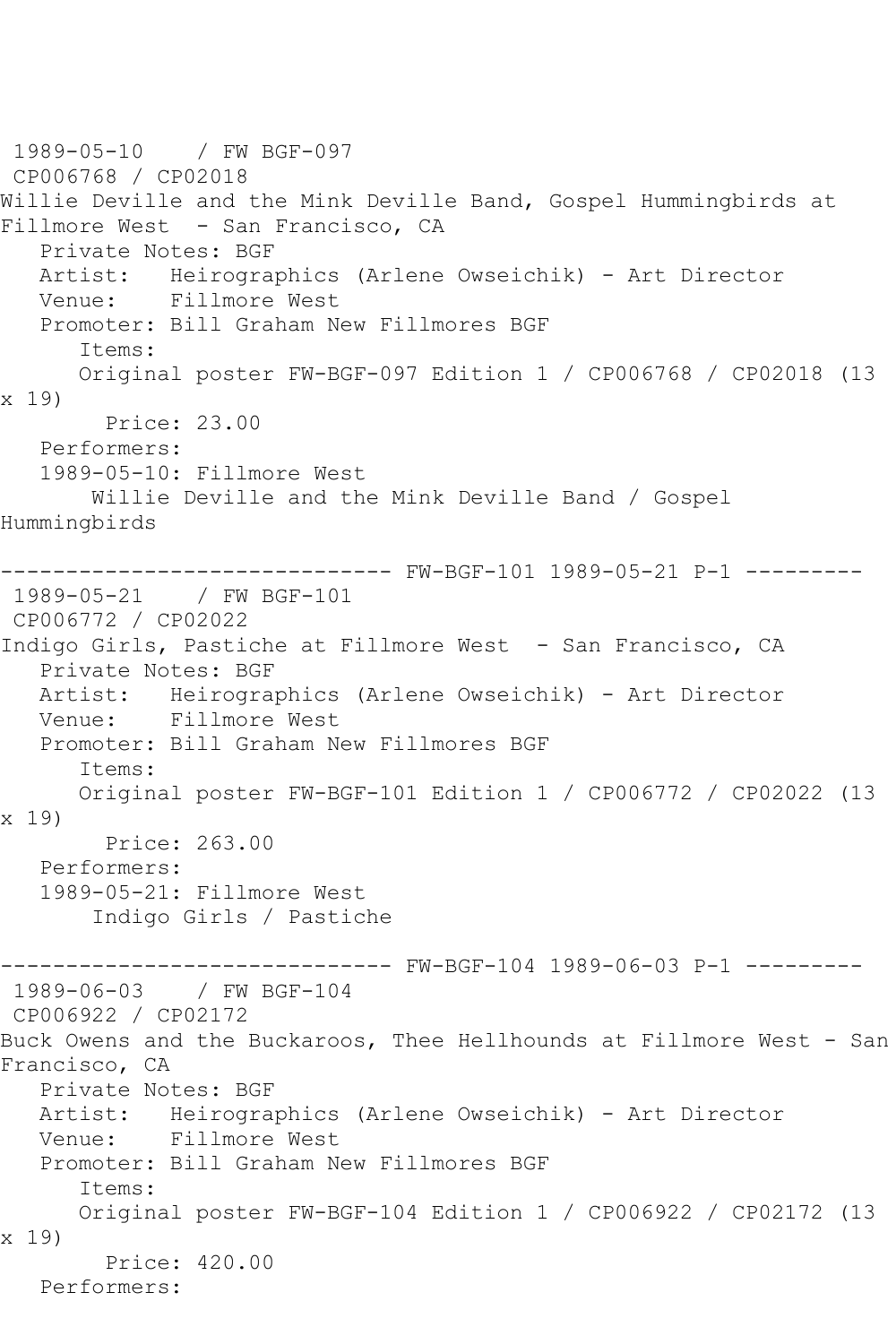1989-05-10 / FW BGF-097 CP006768 / CP02018 Willie Deville and the Mink Deville Band, Gospel Hummingbirds at Fillmore West - San Francisco, CA Private Notes: BGF Artist: Heirographics (Arlene Owseichik) - Art Director Venue: Fillmore West Promoter: Bill Graham New Fillmores BGF Items: Original poster FW-BGF-097 Edition 1 / CP006768 / CP02018 (13 x 19) Price: 23.00 Performers: 1989-05-10: Fillmore West Willie Deville and the Mink Deville Band / Gospel Hummingbirds ------------------------------ FW-BGF-101 1989-05-21 P-1 --------- 1989-05-21 / FW BGF-101 CP006772 / CP02022 Indigo Girls, Pastiche at Fillmore West - San Francisco, CA Private Notes: BGF Artist: Heirographics (Arlene Owseichik) - Art Director Venue: Fillmore West Promoter: Bill Graham New Fillmores BGF Items: Original poster FW-BGF-101 Edition 1 / CP006772 / CP02022 (13 x 19) Price: 263.00 Performers: 1989-05-21: Fillmore West Indigo Girls / Pastiche ------------------------------ FW-BGF-104 1989-06-03 P-1 --------- 1989-06-03 / FW BGF-104 CP006922 / CP02172 Buck Owens and the Buckaroos, Thee Hellhounds at Fillmore West - San Francisco, CA Private Notes: BGF Artist: Heirographics (Arlene Owseichik) - Art Director Venue: Fillmore West Promoter: Bill Graham New Fillmores BGF Items: Original poster FW-BGF-104 Edition 1 / CP006922 / CP02172 (13 x 19) Price: 420.00 Performers: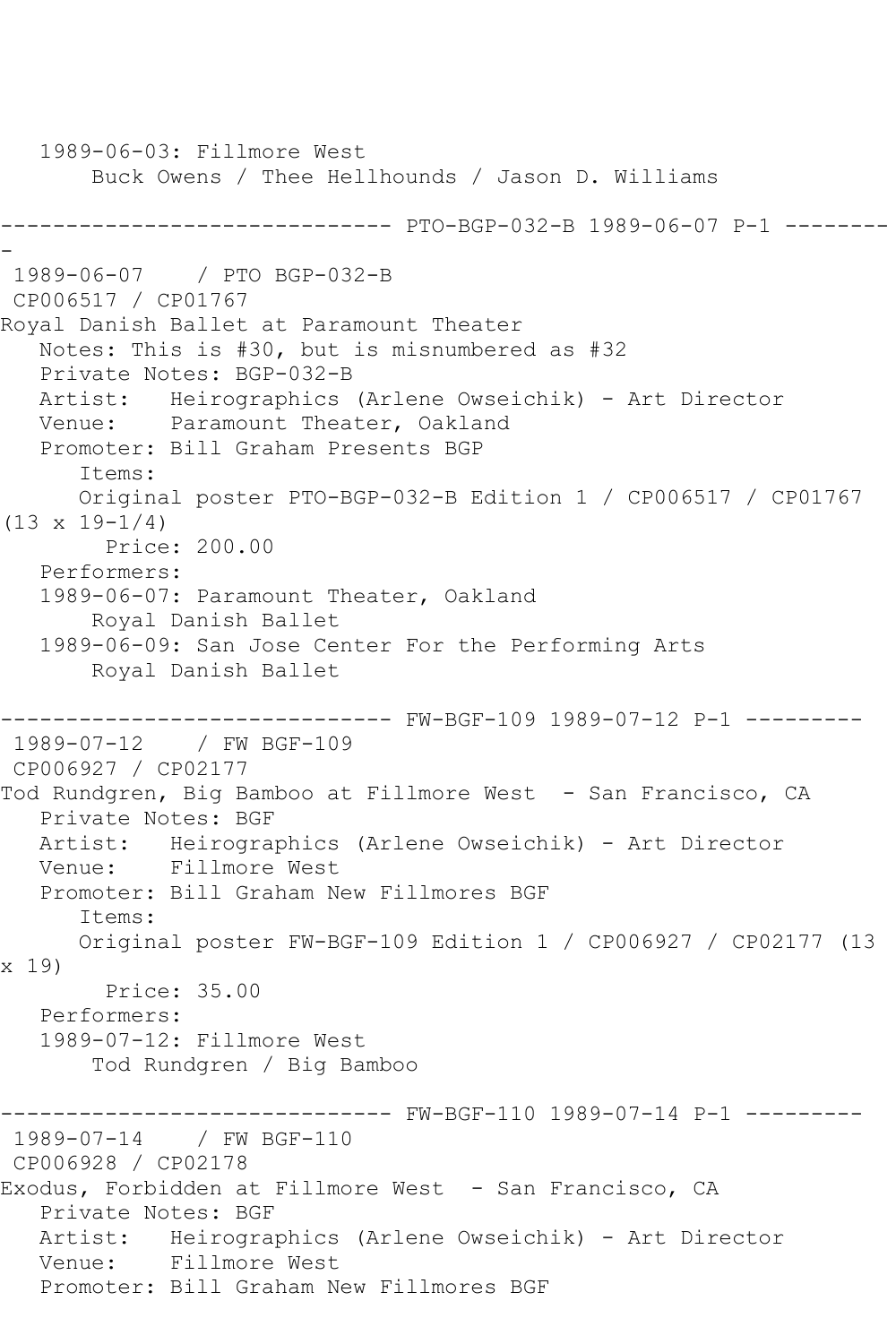1989-06-03: Fillmore West Buck Owens / Thee Hellhounds / Jason D. Williams ------------------------------ PTO-BGP-032-B 1989-06-07 P-1 -------- - 1989-06-07 / PTO BGP-032-B CP006517 / CP01767 Royal Danish Ballet at Paramount Theater Notes: This is #30, but is misnumbered as #32 Private Notes: BGP-032-B Artist: Heirographics (Arlene Owseichik) - Art Director<br>Venue: Paramount Theater, Oakland Paramount Theater, Oakland Promoter: Bill Graham Presents BGP Items: Original poster PTO-BGP-032-B Edition 1 / CP006517 / CP01767 (13 x 19-1/4) Price: 200.00 Performers: 1989-06-07: Paramount Theater, Oakland Royal Danish Ballet 1989-06-09: San Jose Center For the Performing Arts Royal Danish Ballet ------------------------------ FW-BGF-109 1989-07-12 P-1 --------- 1989-07-12 / FW BGF-109 CP006927 / CP02177 Tod Rundgren, Big Bamboo at Fillmore West - San Francisco, CA Private Notes: BGF Artist: Heirographics (Arlene Owseichik) - Art Director Venue: Fillmore West Promoter: Bill Graham New Fillmores BGF Items: Original poster FW-BGF-109 Edition 1 / CP006927 / CP02177 (13 x 19) Price: 35.00 Performers: 1989-07-12: Fillmore West Tod Rundgren / Big Bamboo ------------------------------ FW-BGF-110 1989-07-14 P-1 --------- 1989-07-14 / FW BGF-110 CP006928 / CP02178 Exodus, Forbidden at Fillmore West - San Francisco, CA Private Notes: BGF Artist: Heirographics (Arlene Owseichik) - Art Director Venue: Fillmore West Promoter: Bill Graham New Fillmores BGF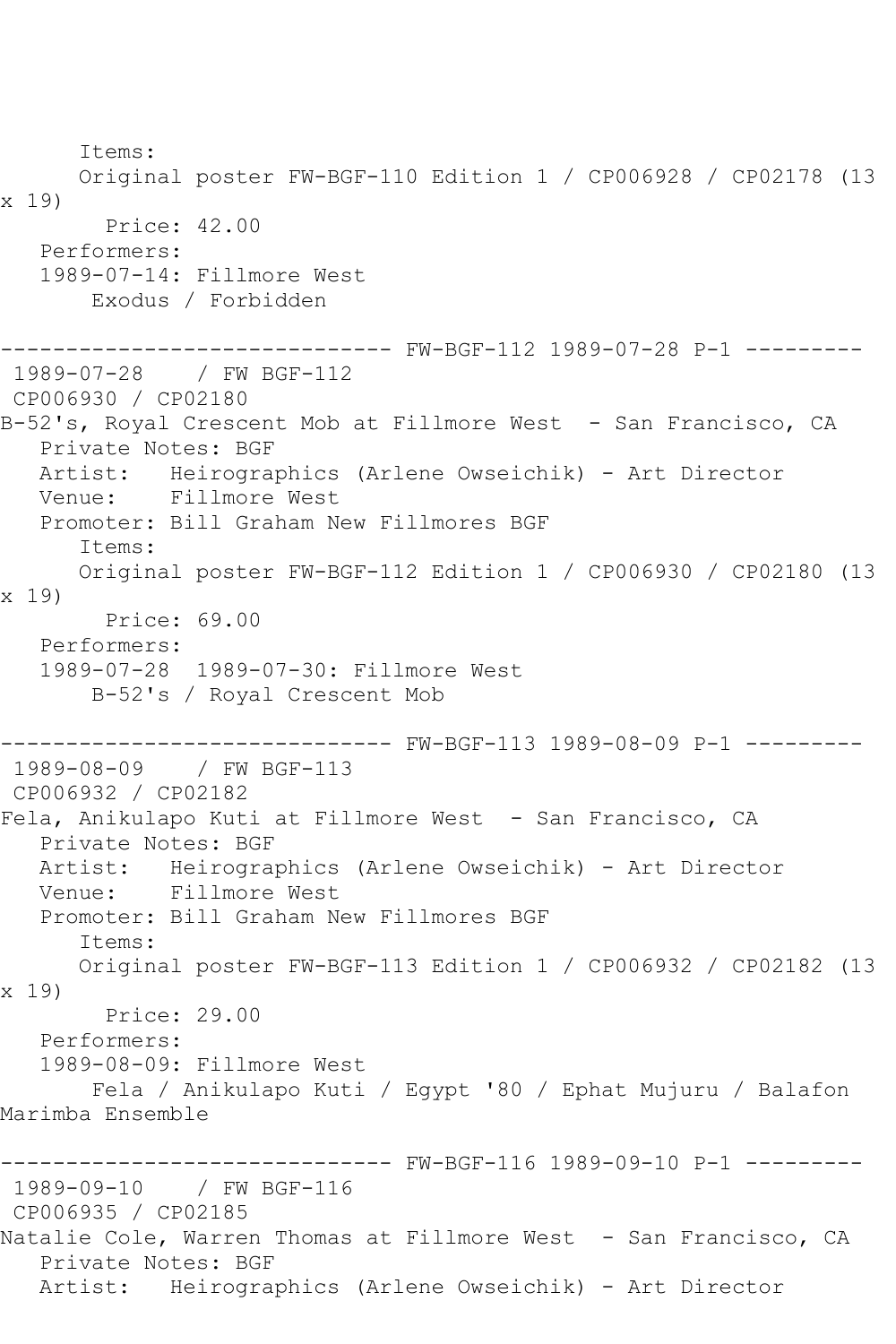Items: Original poster FW-BGF-110 Edition 1 / CP006928 / CP02178 (13 x 19) Price: 42.00 Performers: 1989-07-14: Fillmore West Exodus / Forbidden ------------------------------ FW-BGF-112 1989-07-28 P-1 --------- 1989-07-28 / FW BGF-112 CP006930 / CP02180 B-52's, Royal Crescent Mob at Fillmore West - San Francisco, CA Private Notes: BGF Artist: Heirographics (Arlene Owseichik) - Art Director Venue: Fillmore West Promoter: Bill Graham New Fillmores BGF Items: Original poster FW-BGF-112 Edition 1 / CP006930 / CP02180 (13 x 19) Price: 69.00 Performers: 1989-07-28 1989-07-30: Fillmore West B-52's / Royal Crescent Mob ------------------------------ FW-BGF-113 1989-08-09 P-1 --------- 1989-08-09 / FW BGF-113 CP006932 / CP02182 Fela, Anikulapo Kuti at Fillmore West - San Francisco, CA Private Notes: BGF Artist: Heirographics (Arlene Owseichik) - Art Director Venue: Fillmore West Promoter: Bill Graham New Fillmores BGF Items: Original poster FW-BGF-113 Edition 1 / CP006932 / CP02182 (13 x 19) Price: 29.00 Performers: 1989-08-09: Fillmore West Fela / Anikulapo Kuti / Egypt '80 / Ephat Mujuru / Balafon Marimba Ensemble ------------------------------ FW-BGF-116 1989-09-10 P-1 --------- 1989-09-10 / FW BGF-116 CP006935 / CP02185 Natalie Cole, Warren Thomas at Fillmore West - San Francisco, CA Private Notes: BGF Artist: Heirographics (Arlene Owseichik) - Art Director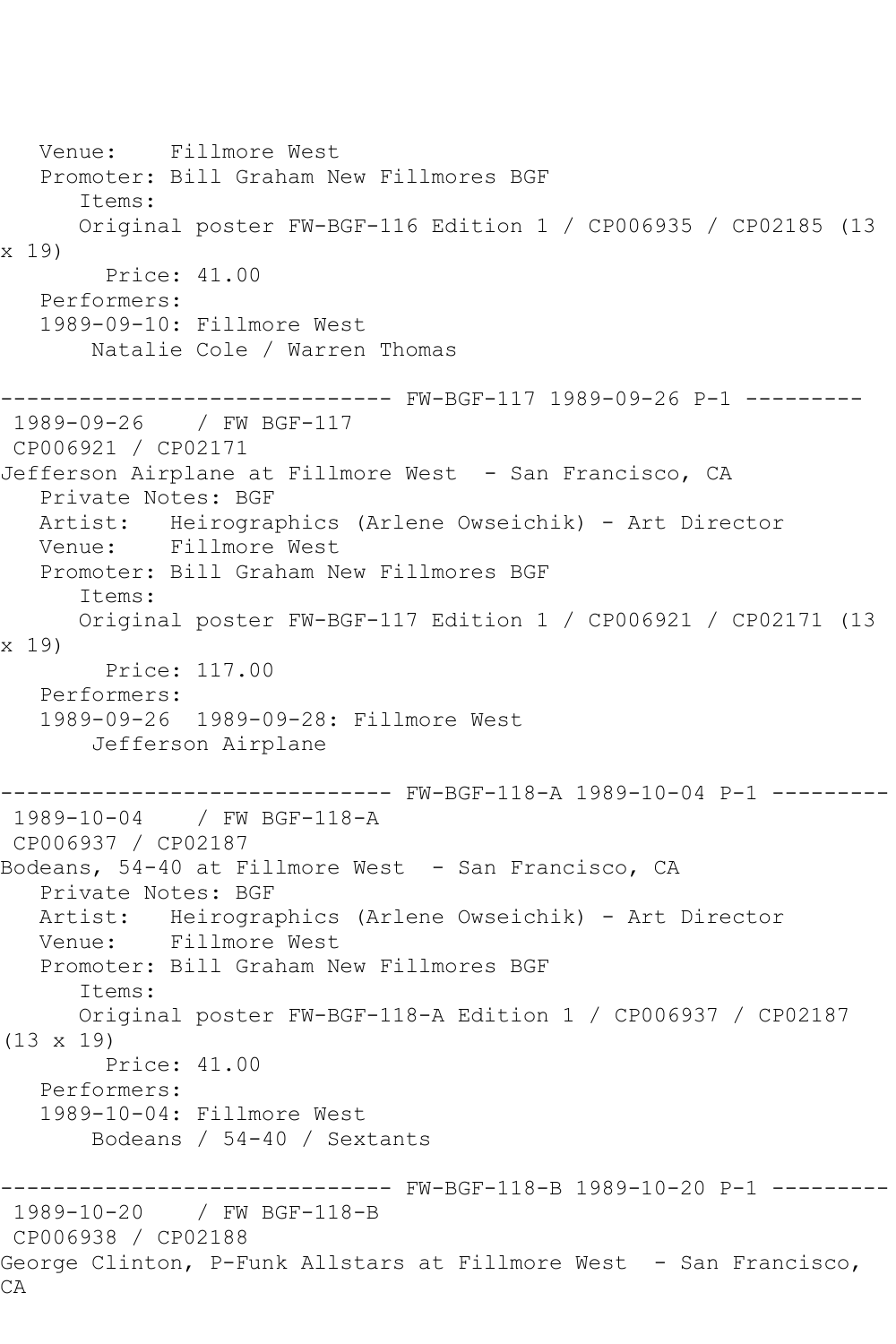Venue: Fillmore West Promoter: Bill Graham New Fillmores BGF Items: Original poster FW-BGF-116 Edition 1 / CP006935 / CP02185 (13 x 19) Price: 41.00 Performers: 1989-09-10: Fillmore West Natalie Cole / Warren Thomas ------------------------------ FW-BGF-117 1989-09-26 P-1 --------- 1989-09-26 / FW BGF-117 CP006921 / CP02171 Jefferson Airplane at Fillmore West - San Francisco, CA Private Notes: BGF Artist: Heirographics (Arlene Owseichik) - Art Director Venue: Fillmore West Promoter: Bill Graham New Fillmores BGF Items: Original poster FW-BGF-117 Edition 1 / CP006921 / CP02171 (13 x 19) Price: 117.00 Performers: 1989-09-26 1989-09-28: Fillmore West Jefferson Airplane ------------------------------ FW-BGF-118-A 1989-10-04 P-1 --------- 1989-10-04 / FW BGF-118-A CP006937 / CP02187 Bodeans, 54-40 at Fillmore West - San Francisco, CA Private Notes: BGF Artist: Heirographics (Arlene Owseichik) - Art Director Venue: Fillmore West Promoter: Bill Graham New Fillmores BGF Items: Original poster FW-BGF-118-A Edition 1 / CP006937 / CP02187 (13 x 19) Price: 41.00 Performers: 1989-10-04: Fillmore West Bodeans / 54-40 / Sextants ------------------------------ FW-BGF-118-B 1989-10-20 P-1 --------- 1989-10-20 / FW BGF-118-B CP006938 / CP02188 George Clinton, P-Funk Allstars at Fillmore West - San Francisco, CA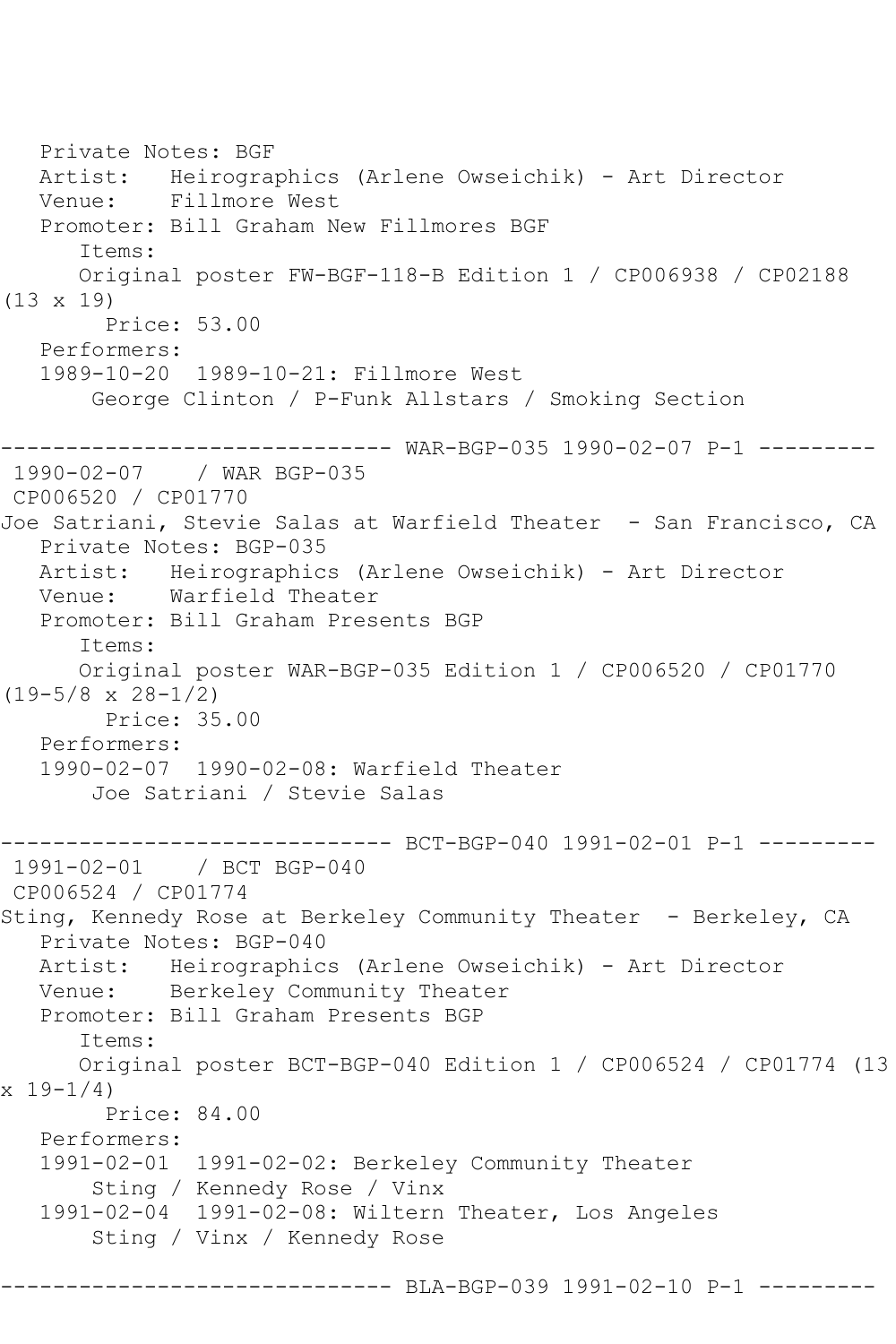Private Notes: BGF Artist: Heirographics (Arlene Owseichik) - Art Director Venue: Fillmore West Promoter: Bill Graham New Fillmores BGF Items: Original poster FW-BGF-118-B Edition 1 / CP006938 / CP02188 (13 x 19) Price: 53.00 Performers: 1989-10-20 1989-10-21: Fillmore West George Clinton / P-Funk Allstars / Smoking Section ------------------------------ WAR-BGP-035 1990-02-07 P-1 --------- 1990-02-07 / WAR BGP-035 CP006520 / CP01770 Joe Satriani, Stevie Salas at Warfield Theater - San Francisco, CA Private Notes: BGP-035 Artist: Heirographics (Arlene Owseichik) - Art Director Venue: Warfield Theater Promoter: Bill Graham Presents BGP Items: Original poster WAR-BGP-035 Edition 1 / CP006520 / CP01770  $(19-5/8 \times 28-1/2)$  Price: 35.00 Performers: 1990-02-07 1990-02-08: Warfield Theater Joe Satriani / Stevie Salas ------------------------------ BCT-BGP-040 1991-02-01 P-1 --------- 1991-02-01 / BCT BGP-040 CP006524 / CP01774 Sting, Kennedy Rose at Berkeley Community Theater - Berkeley, CA Private Notes: BGP-040 Artist: Heirographics (Arlene Owseichik) - Art Director Venue: Berkeley Community Theater Promoter: Bill Graham Presents BGP Items: Original poster BCT-BGP-040 Edition 1 / CP006524 / CP01774 (13 x 19-1/4) Price: 84.00 Performers: 1991-02-01 1991-02-02: Berkeley Community Theater Sting / Kennedy Rose / Vinx 1991-02-04 1991-02-08: Wiltern Theater, Los Angeles Sting / Vinx / Kennedy Rose ------ BLA-BGP-039 1991-02-10 P-1 --------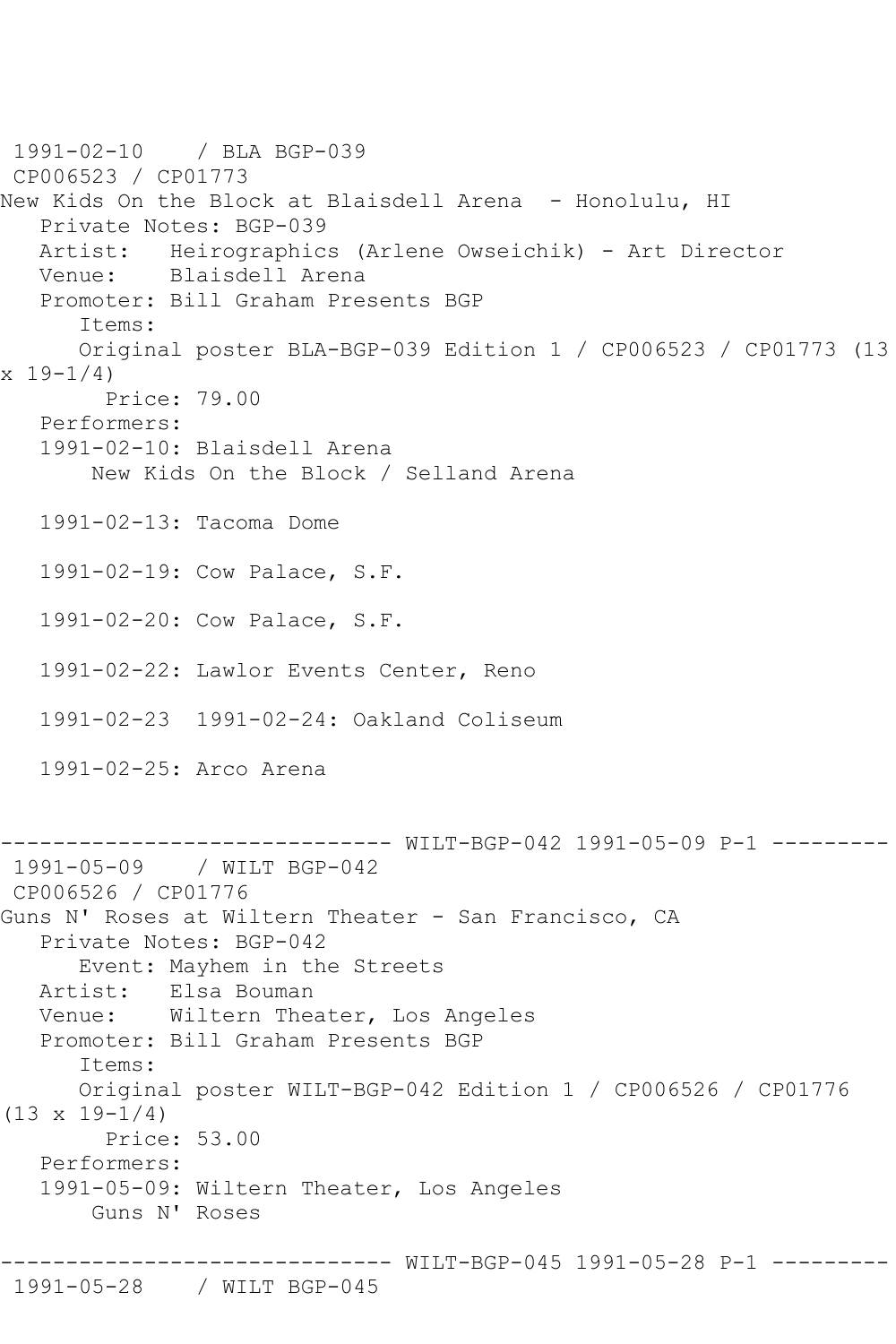1991-02-10 / BLA BGP-039 CP006523 / CP01773 New Kids On the Block at Blaisdell Arena - Honolulu, HI Private Notes: BGP-039 Artist: Heirographics (Arlene Owseichik) - Art Director Venue: Blaisdell Arena Promoter: Bill Graham Presents BGP Items: Original poster BLA-BGP-039 Edition 1 / CP006523 / CP01773 (13  $x 19-1/4$  Price: 79.00 Performers: 1991-02-10: Blaisdell Arena New Kids On the Block / Selland Arena 1991-02-13: Tacoma Dome 1991-02-19: Cow Palace, S.F. 1991-02-20: Cow Palace, S.F. 1991-02-22: Lawlor Events Center, Reno 1991-02-23 1991-02-24: Oakland Coliseum 1991-02-25: Arco Arena -------------------- WILT-BGP-042 1991-05-09 P-1 ---------1991-05-09 / WILT BGP-042 CP006526 / CP01776 Guns N' Roses at Wiltern Theater - San Francisco, CA Private Notes: BGP-042 Event: Mayhem in the Streets Artist: Elsa Bouman Venue: Wiltern Theater, Los Angeles Promoter: Bill Graham Presents BGP Items: Original poster WILT-BGP-042 Edition 1 / CP006526 / CP01776  $(13 \times 19 - 1/4)$  Price: 53.00 Performers: 1991-05-09: Wiltern Theater, Los Angeles Guns N' Roses ------------------------------ WILT-BGP-045 1991-05-28 P-1 ---------

## 1991-05-28 / WILT BGP-045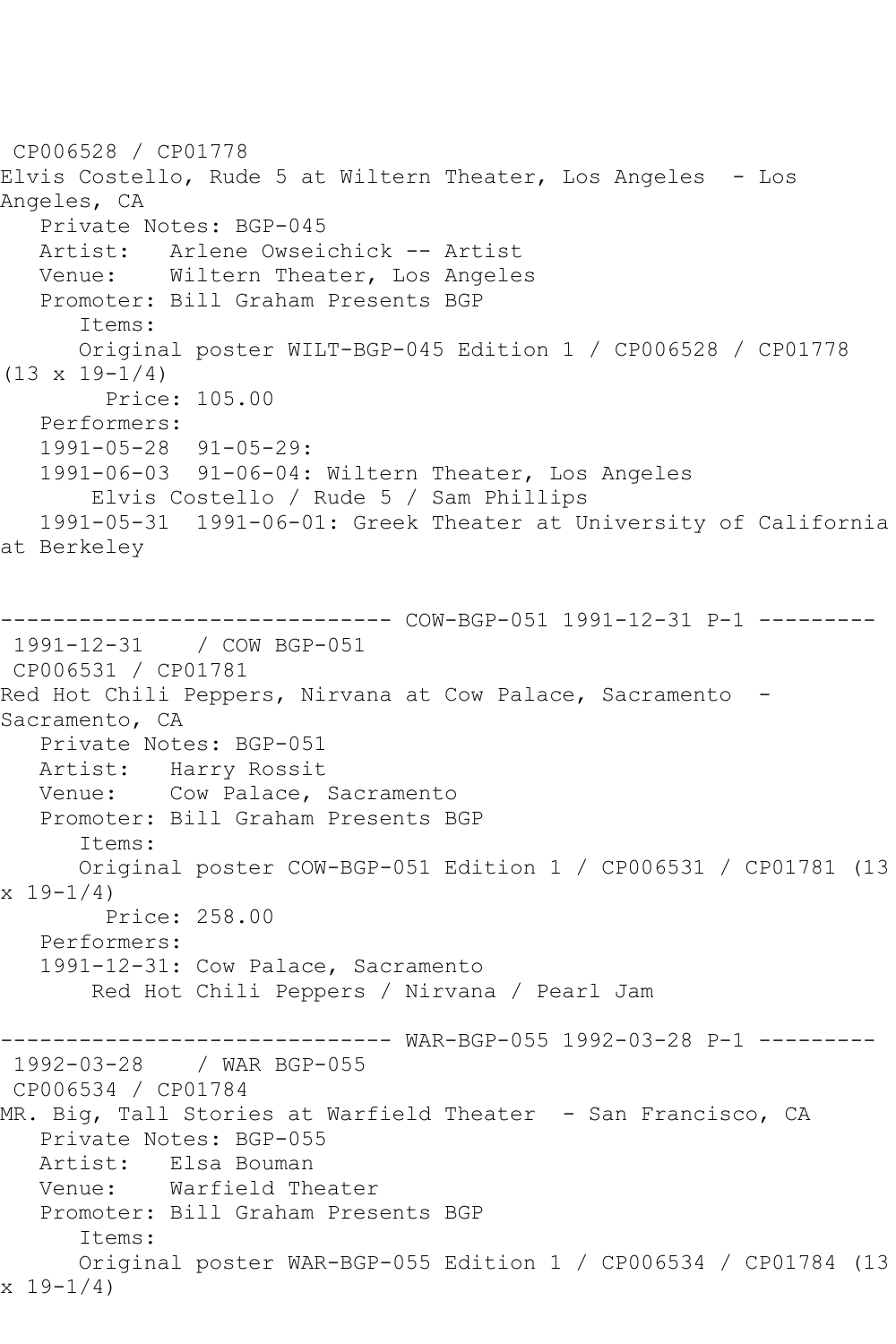CP006528 / CP01778 Elvis Costello, Rude 5 at Wiltern Theater, Los Angeles - Los Angeles, CA Private Notes: BGP-045 Artist: Arlene Owseichick -- Artist Venue: Wiltern Theater, Los Angeles Promoter: Bill Graham Presents BGP Items: Original poster WILT-BGP-045 Edition 1 / CP006528 / CP01778 (13 x 19-1/4) Price: 105.00 Performers: 1991-05-28 91-05-29: 1991-06-03 91-06-04: Wiltern Theater, Los Angeles Elvis Costello / Rude 5 / Sam Phillips 1991-05-31 1991-06-01: Greek Theater at University of California at Berkeley ------------------------------ COW-BGP-051 1991-12-31 P-1 --------- 1991-12-31 / COW BGP-051 CP006531 / CP01781 Red Hot Chili Peppers, Nirvana at Cow Palace, Sacramento - Sacramento, CA Private Notes: BGP-051 Artist: Harry Rossit Venue: Cow Palace, Sacramento Promoter: Bill Graham Presents BGP Items: Original poster COW-BGP-051 Edition 1 / CP006531 / CP01781 (13 x 19-1/4) Price: 258.00 Performers: 1991-12-31: Cow Palace, Sacramento Red Hot Chili Peppers / Nirvana / Pearl Jam ------------------------------ WAR-BGP-055 1992-03-28 P-1 --------- 1992-03-28 / WAR BGP-055 CP006534 / CP01784 MR. Big, Tall Stories at Warfield Theater - San Francisco, CA Private Notes: BGP-055 Artist: Elsa Bouman Venue: Warfield Theater Promoter: Bill Graham Presents BGP Items: Original poster WAR-BGP-055 Edition 1 / CP006534 / CP01784 (13 x 19-1/4)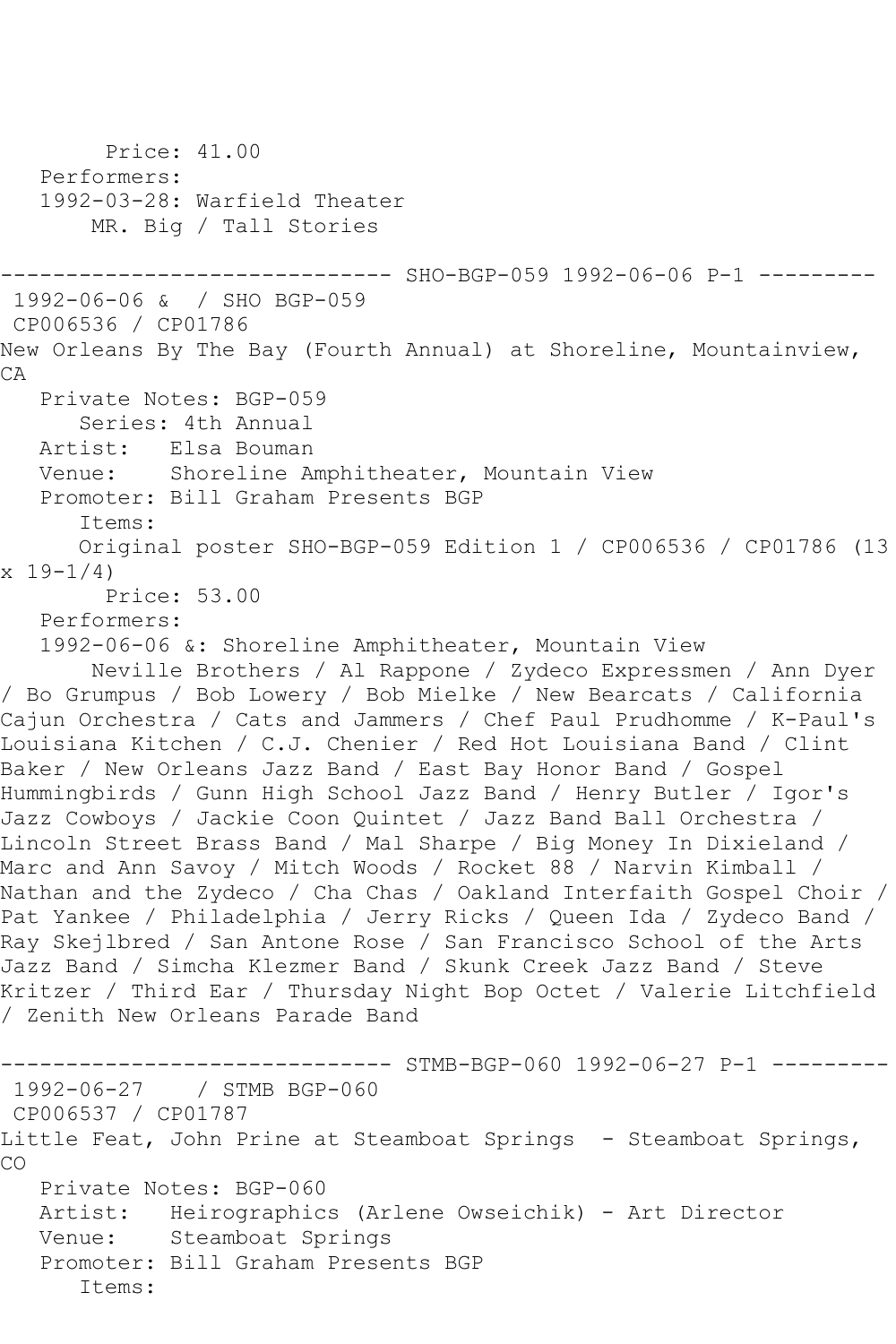```
 Price: 41.00
   Performers:
   1992-03-28: Warfield Theater
       MR. Big / Tall Stories
                   ----------- SHO-BGP-059 1992-06-06 P-1 ---------
1992-06-06 & / SHO BGP-059
CP006536 / CP01786
New Orleans By The Bay (Fourth Annual) at Shoreline, Mountainview, 
CA
   Private Notes: BGP-059
      Series: 4th Annual
   Artist: Elsa Bouman
   Venue: Shoreline Amphitheater, Mountain View
   Promoter: Bill Graham Presents BGP
      Items:
      Original poster SHO-BGP-059 Edition 1 / CP006536 / CP01786 (13 
x 19-1/4)
        Price: 53.00
   Performers:
   1992-06-06 &: Shoreline Amphitheater, Mountain View
       Neville Brothers / Al Rappone / Zydeco Expressmen / Ann Dyer 
/ Bo Grumpus / Bob Lowery / Bob Mielke / New Bearcats / California 
Cajun Orchestra / Cats and Jammers / Chef Paul Prudhomme / K-Paul's 
Louisiana Kitchen / C.J. Chenier / Red Hot Louisiana Band / Clint 
Baker / New Orleans Jazz Band / East Bay Honor Band / Gospel 
Hummingbirds / Gunn High School Jazz Band / Henry Butler / Igor's 
Jazz Cowboys / Jackie Coon Quintet / Jazz Band Ball Orchestra / 
Lincoln Street Brass Band / Mal Sharpe / Big Money In Dixieland / 
Marc and Ann Savoy / Mitch Woods / Rocket 88 / Narvin Kimball / 
Nathan and the Zydeco / Cha Chas / Oakland Interfaith Gospel Choir / 
Pat Yankee / Philadelphia / Jerry Ricks / Queen Ida / Zydeco Band / 
Ray Skejlbred / San Antone Rose / San Francisco School of the Arts 
Jazz Band / Simcha Klezmer Band / Skunk Creek Jazz Band / Steve 
Kritzer / Third Ear / Thursday Night Bop Octet / Valerie Litchfield 
/ Zenith New Orleans Parade Band
                   ------------ STMB-BGP-060 1992-06-27 P-1 ---------
1992-06-27 / STMB BGP-060
CP006537 / CP01787
Little Feat, John Prine at Steamboat Springs - Steamboat Springs, 
CO
   Private Notes: BGP-060
   Artist: Heirographics (Arlene Owseichik) - Art Director
   Venue: Steamboat Springs
   Promoter: Bill Graham Presents BGP
      Items:
```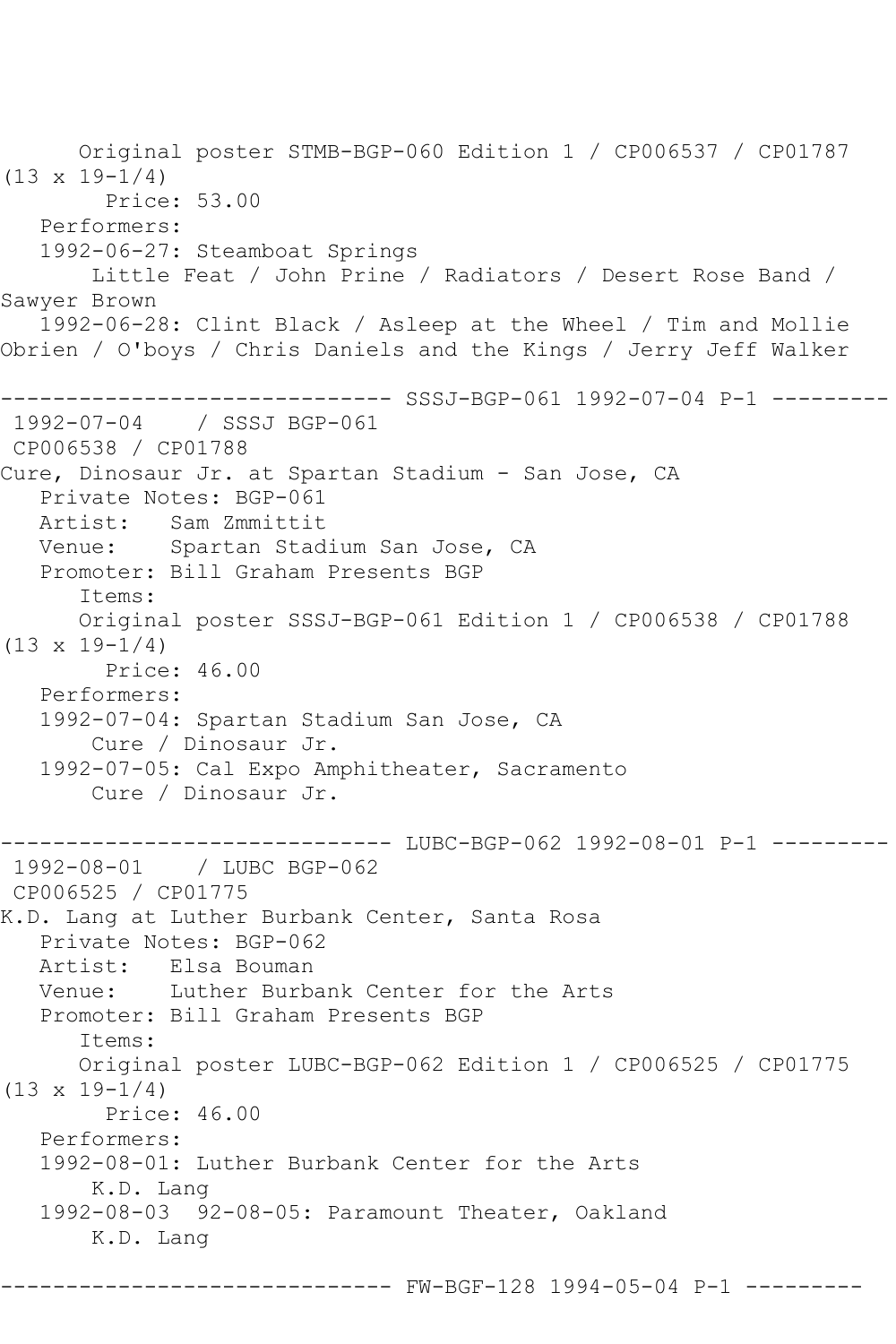Original poster STMB-BGP-060 Edition 1 / CP006537 / CP01787 (13 x 19-1/4) Price: 53.00 Performers: 1992-06-27: Steamboat Springs Little Feat / John Prine / Radiators / Desert Rose Band / Sawyer Brown 1992-06-28: Clint Black / Asleep at the Wheel / Tim and Mollie Obrien / O'boys / Chris Daniels and the Kings / Jerry Jeff Walker ------------------------------ SSSJ-BGP-061 1992-07-04 P-1 --------- 1992-07-04 / SSSJ BGP-061 CP006538 / CP01788 Cure, Dinosaur Jr. at Spartan Stadium - San Jose, CA Private Notes: BGP-061<br>Artist: Sam Zmmittit Sam Zmmittit Venue: Spartan Stadium San Jose, CA Promoter: Bill Graham Presents BGP Items: Original poster SSSJ-BGP-061 Edition 1 / CP006538 / CP01788  $(13 \times 19 - 1/4)$  Price: 46.00 Performers: 1992-07-04: Spartan Stadium San Jose, CA Cure / Dinosaur Jr. 1992-07-05: Cal Expo Amphitheater, Sacramento Cure / Dinosaur Jr. ------------------------------ LUBC-BGP-062 1992-08-01 P-1 --------- 1992-08-01 / LUBC BGP-062 CP006525 / CP01775 K.D. Lang at Luther Burbank Center, Santa Rosa Private Notes: BGP-062 Artist: Elsa Bouman Venue: Luther Burbank Center for the Arts Promoter: Bill Graham Presents BGP Items: Original poster LUBC-BGP-062 Edition 1 / CP006525 / CP01775  $(13 \times 19 - 1/4)$  Price: 46.00 Performers: 1992-08-01: Luther Burbank Center for the Arts K.D. Lang 1992-08-03 92-08-05: Paramount Theater, Oakland K.D. Lang

------------------------------ FW-BGF-128 1994-05-04 P-1 ---------